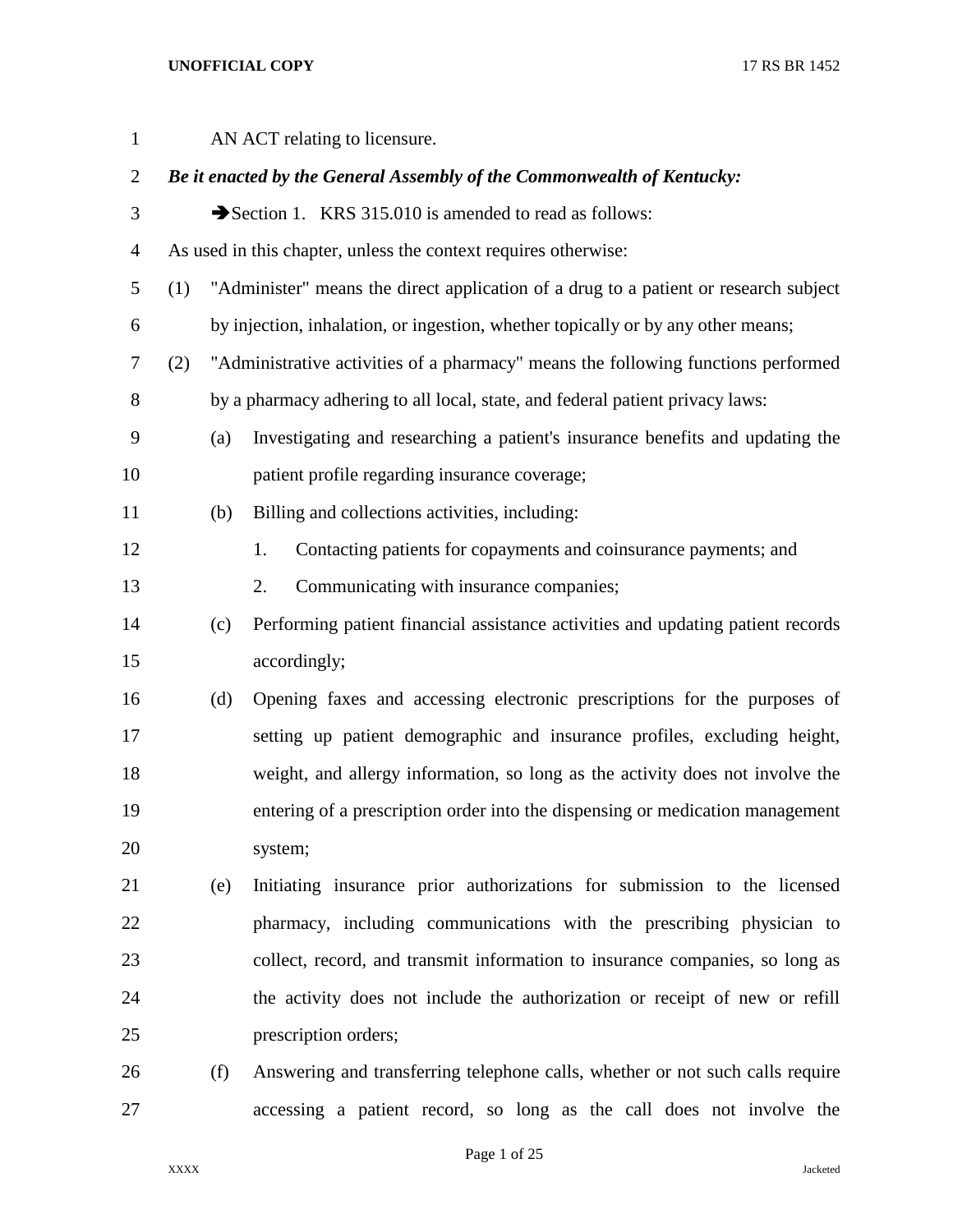| $\mathbf{1}$   |     |     | AN ACT relating to licensure.                                                        |
|----------------|-----|-----|--------------------------------------------------------------------------------------|
| $\mathbf{2}$   |     |     | Be it enacted by the General Assembly of the Commonwealth of Kentucky:               |
| 3              |     |     | Section 1. KRS 315.010 is amended to read as follows:                                |
| $\overline{4}$ |     |     | As used in this chapter, unless the context requires otherwise:                      |
| 5              | (1) |     | "Administer" means the direct application of a drug to a patient or research subject |
| 6              |     |     | by injection, inhalation, or ingestion, whether topically or by any other means;     |
| $\tau$         | (2) |     | "Administrative activities of a pharmacy" means the following functions performed    |
| $8\,$          |     |     | by a pharmacy adhering to all local, state, and federal patient privacy laws:        |
| 9              |     | (a) | Investigating and researching a patient's insurance benefits and updating the        |
| 10             |     |     | patient profile regarding insurance coverage;                                        |
| 11             |     | (b) | Billing and collections activities, including:                                       |
| 12             |     |     | Contacting patients for copayments and coinsurance payments; and<br>1.               |
| 13             |     |     | Communicating with insurance companies;<br>2.                                        |
| 14             |     | (c) | Performing patient financial assistance activities and updating patient records      |
| 15             |     |     | accordingly;                                                                         |
| 16             |     | (d) | Opening faxes and accessing electronic prescriptions for the purposes of             |
| 17             |     |     | setting up patient demographic and insurance profiles, excluding height,             |
| 18             |     |     | weight, and allergy information, so long as the activity does not involve the        |
| 19             |     |     | entering of a prescription order into the dispensing or medication management        |
| 20             |     |     | system;                                                                              |
| 21             |     | (e) | Initiating insurance prior authorizations for submission to the licensed             |
| 22             |     |     | pharmacy, including communications with the prescribing physician to                 |
| 23             |     |     | collect, record, and transmit information to insurance companies, so long as         |
| 24             |     |     | the activity does not include the authorization or receipt of new or refill          |
| 25             |     |     | prescription orders;                                                                 |
| 26             |     | (f) | Answering and transferring telephone calls, whether or not such calls require        |
| 27             |     |     | accessing a patient record, so long as the call does not involve the                 |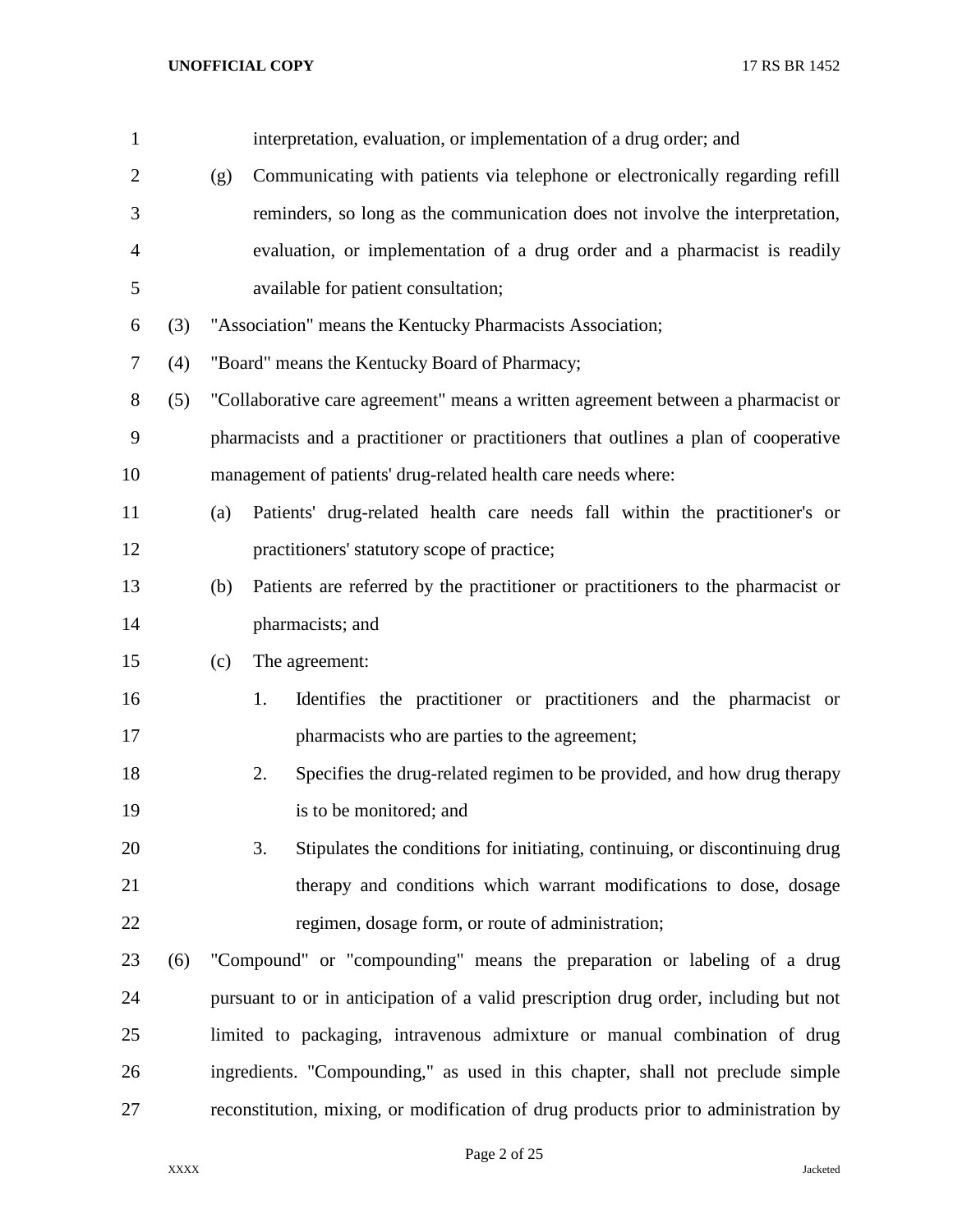| $\mathbf{1}$ |     |     | interpretation, evaluation, or implementation of a drug order; and                   |
|--------------|-----|-----|--------------------------------------------------------------------------------------|
| 2            |     | (g) | Communicating with patients via telephone or electronically regarding refill         |
| 3            |     |     | reminders, so long as the communication does not involve the interpretation,         |
| 4            |     |     | evaluation, or implementation of a drug order and a pharmacist is readily            |
| 5            |     |     | available for patient consultation;                                                  |
| 6            | (3) |     | "Association" means the Kentucky Pharmacists Association;                            |
| 7            | (4) |     | "Board" means the Kentucky Board of Pharmacy;                                        |
| 8            | (5) |     | "Collaborative care agreement" means a written agreement between a pharmacist or     |
| 9            |     |     | pharmacists and a practitioner or practitioners that outlines a plan of cooperative  |
| 10           |     |     | management of patients' drug-related health care needs where:                        |
| 11           |     | (a) | Patients' drug-related health care needs fall within the practitioner's or           |
| 12           |     |     | practitioners' statutory scope of practice;                                          |
| 13           |     | (b) | Patients are referred by the practitioner or practitioners to the pharmacist or      |
| 14           |     |     | pharmacists; and                                                                     |
| 15           |     | (c) | The agreement:                                                                       |
| 16           |     |     | Identifies the practitioner or practitioners and the pharmacist or<br>1.             |
| 17           |     |     | pharmacists who are parties to the agreement;                                        |
| 18           |     |     | 2.<br>Specifies the drug-related regimen to be provided, and how drug therapy        |
| 19           |     |     | is to be monitored; and                                                              |
| 20           |     |     | 3.<br>Stipulates the conditions for initiating, continuing, or discontinuing drug    |
| 21           |     |     | therapy and conditions which warrant modifications to dose, dosage                   |
| 22           |     |     | regimen, dosage form, or route of administration;                                    |
| 23           | (6) |     | "Compound" or "compounding" means the preparation or labeling of a drug              |
| 24           |     |     | pursuant to or in anticipation of a valid prescription drug order, including but not |
| 25           |     |     | limited to packaging, intravenous admixture or manual combination of drug            |
| 26           |     |     | ingredients. "Compounding," as used in this chapter, shall not preclude simple       |
| 27           |     |     | reconstitution, mixing, or modification of drug products prior to administration by  |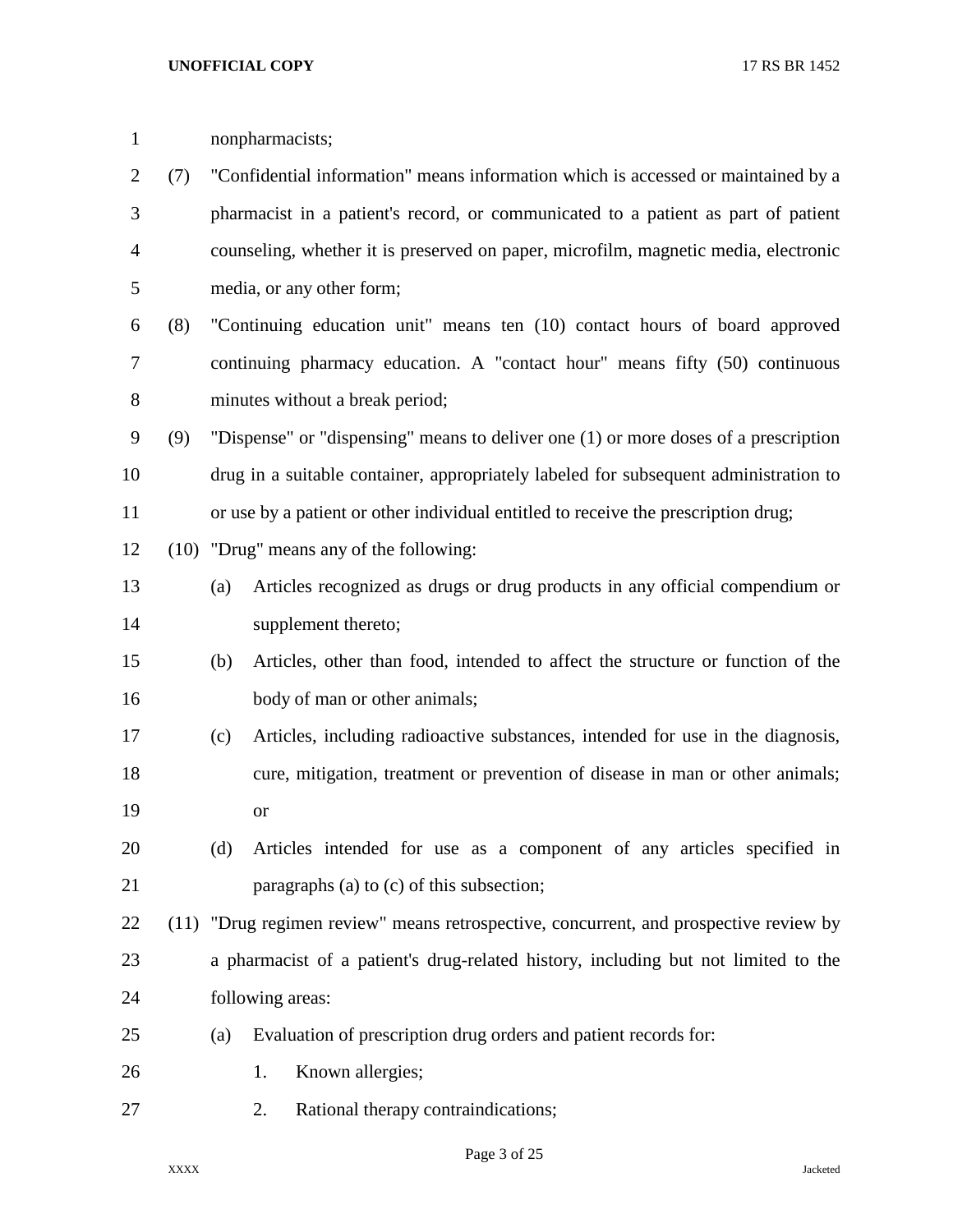| $\mathbf{1}$   |     |     | nonpharmacists;                                                                       |
|----------------|-----|-----|---------------------------------------------------------------------------------------|
| $\overline{2}$ | (7) |     | "Confidential information" means information which is accessed or maintained by a     |
| 3              |     |     | pharmacist in a patient's record, or communicated to a patient as part of patient     |
| 4              |     |     | counseling, whether it is preserved on paper, microfilm, magnetic media, electronic   |
| 5              |     |     | media, or any other form;                                                             |
| 6              | (8) |     | "Continuing education unit" means ten (10) contact hours of board approved            |
| 7              |     |     | continuing pharmacy education. A "contact hour" means fifty (50) continuous           |
| $8\,$          |     |     | minutes without a break period;                                                       |
| 9              | (9) |     | "Dispense" or "dispensing" means to deliver one (1) or more doses of a prescription   |
| 10             |     |     | drug in a suitable container, appropriately labeled for subsequent administration to  |
| 11             |     |     | or use by a patient or other individual entitled to receive the prescription drug;    |
| 12             |     |     | (10) "Drug" means any of the following:                                               |
| 13             |     | (a) | Articles recognized as drugs or drug products in any official compendium or           |
| 14             |     |     | supplement thereto;                                                                   |
| 15             |     | (b) | Articles, other than food, intended to affect the structure or function of the        |
| 16             |     |     | body of man or other animals;                                                         |
| 17             |     | (c) | Articles, including radioactive substances, intended for use in the diagnosis,        |
| 18             |     |     | cure, mitigation, treatment or prevention of disease in man or other animals;         |
| 19             |     |     | <sub>or</sub>                                                                         |
| 20             |     | (d) | Articles intended for use as a component of any articles specified in                 |
| 21             |     |     | paragraphs (a) to (c) of this subsection;                                             |
| 22             |     |     | (11) "Drug regimen review" means retrospective, concurrent, and prospective review by |
| 23             |     |     | a pharmacist of a patient's drug-related history, including but not limited to the    |
| 24             |     |     | following areas:                                                                      |
| 25             |     | (a) | Evaluation of prescription drug orders and patient records for:                       |
| 26             |     |     | Known allergies;<br>1.                                                                |
| 27             |     |     | Rational therapy contraindications;<br>2.                                             |

Page 3 of 25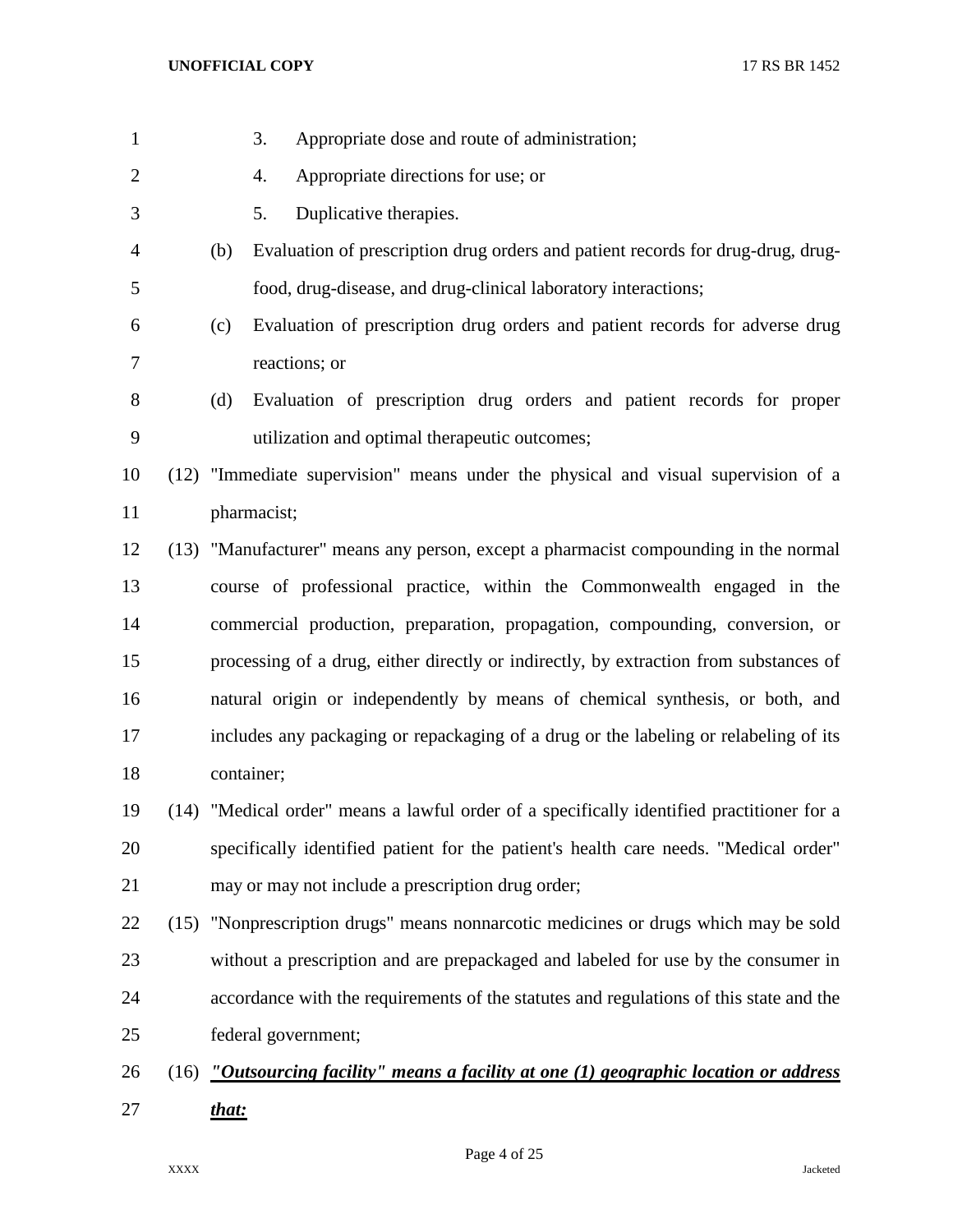| $\mathbf{1}$   | Appropriate dose and route of administration;<br>3.                                       |
|----------------|-------------------------------------------------------------------------------------------|
| $\overline{2}$ | Appropriate directions for use; or<br>4.                                                  |
| 3              | Duplicative therapies.<br>5.                                                              |
| $\overline{4}$ | Evaluation of prescription drug orders and patient records for drug-drug, drug-<br>(b)    |
| 5              | food, drug-disease, and drug-clinical laboratory interactions;                            |
| 6              | Evaluation of prescription drug orders and patient records for adverse drug<br>(c)        |
| 7              | reactions; or                                                                             |
| 8              | Evaluation of prescription drug orders and patient records for proper<br>(d)              |
| 9              | utilization and optimal therapeutic outcomes;                                             |
| 10             | (12) "Immediate supervision" means under the physical and visual supervision of a         |
| 11             | pharmacist;                                                                               |
| 12             | (13) "Manufacturer" means any person, except a pharmacist compounding in the normal       |
| 13             | course of professional practice, within the Commonwealth engaged in the                   |
| 14             | commercial production, preparation, propagation, compounding, conversion, or              |
| 15             | processing of a drug, either directly or indirectly, by extraction from substances of     |
| 16             | natural origin or independently by means of chemical synthesis, or both, and              |
| 17             | includes any packaging or repackaging of a drug or the labeling or relabeling of its      |
| 18             | container;                                                                                |
| 19             | (14) "Medical order" means a lawful order of a specifically identified practitioner for a |
| 20             | specifically identified patient for the patient's health care needs. "Medical order"      |
| 21             | may or may not include a prescription drug order;                                         |
| 22             | (15) "Nonprescription drugs" means nonnarcotic medicines or drugs which may be sold       |
| 23             | without a prescription and are prepackaged and labeled for use by the consumer in         |
| 24             | accordance with the requirements of the statutes and regulations of this state and the    |
| 25             | federal government;                                                                       |
| 26             | $(16)$ "Outsourcing facility" means a facility at one (1) geographic location or address  |
| 27             | that:                                                                                     |

Page 4 of 25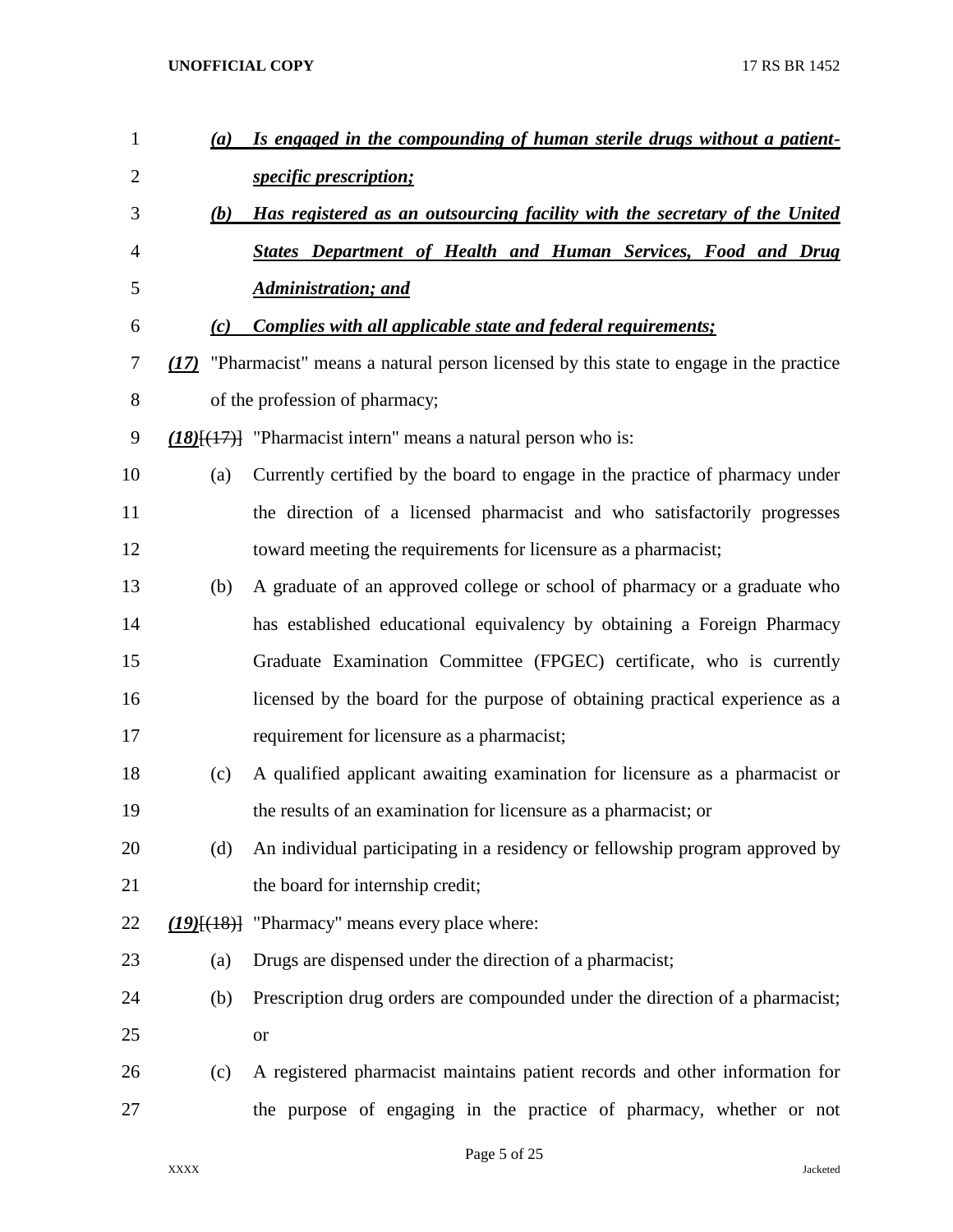| $\mathbf{1}$   | (a) | Is engaged in the compounding of human sterile drugs without a patient-                   |
|----------------|-----|-------------------------------------------------------------------------------------------|
| $\mathbf{2}$   |     | specific prescription;                                                                    |
| 3              | (b) | Has registered as an outsourcing facility with the secretary of the United                |
| $\overline{4}$ |     | <b>States Department of Health and Human Services, Food and Drug</b>                      |
| 5              |     | <b>Administration; and</b>                                                                |
| 6              | (c) | <b>Complies with all applicable state and federal requirements;</b>                       |
| 7              |     | (17) "Pharmacist" means a natural person licensed by this state to engage in the practice |
| 8              |     | of the profession of pharmacy;                                                            |
| 9              |     | $(18)$ [ $(17)$ ] "Pharmacist intern" means a natural person who is:                      |
| 10             | (a) | Currently certified by the board to engage in the practice of pharmacy under              |
| 11             |     | the direction of a licensed pharmacist and who satisfactorily progresses                  |
| 12             |     | toward meeting the requirements for licensure as a pharmacist;                            |
| 13             | (b) | A graduate of an approved college or school of pharmacy or a graduate who                 |
| 14             |     | has established educational equivalency by obtaining a Foreign Pharmacy                   |
| 15             |     | Graduate Examination Committee (FPGEC) certificate, who is currently                      |
| 16             |     | licensed by the board for the purpose of obtaining practical experience as a              |
| 17             |     | requirement for licensure as a pharmacist;                                                |
| 18             | (c) | A qualified applicant awaiting examination for licensure as a pharmacist or               |
| 19             |     | the results of an examination for licensure as a pharmacist; or                           |
| 20             | (d) | An individual participating in a residency or fellowship program approved by              |
| 21             |     | the board for internship credit;                                                          |
| 22             |     | $(19)(18)$ "Pharmacy" means every place where:                                            |
| 23             | (a) | Drugs are dispensed under the direction of a pharmacist;                                  |
| 24             | (b) | Prescription drug orders are compounded under the direction of a pharmacist;              |
| 25             |     | <b>or</b>                                                                                 |
| 26             | (c) | A registered pharmacist maintains patient records and other information for               |
| 27             |     | the purpose of engaging in the practice of pharmacy, whether or not                       |
|                |     |                                                                                           |

Page 5 of 25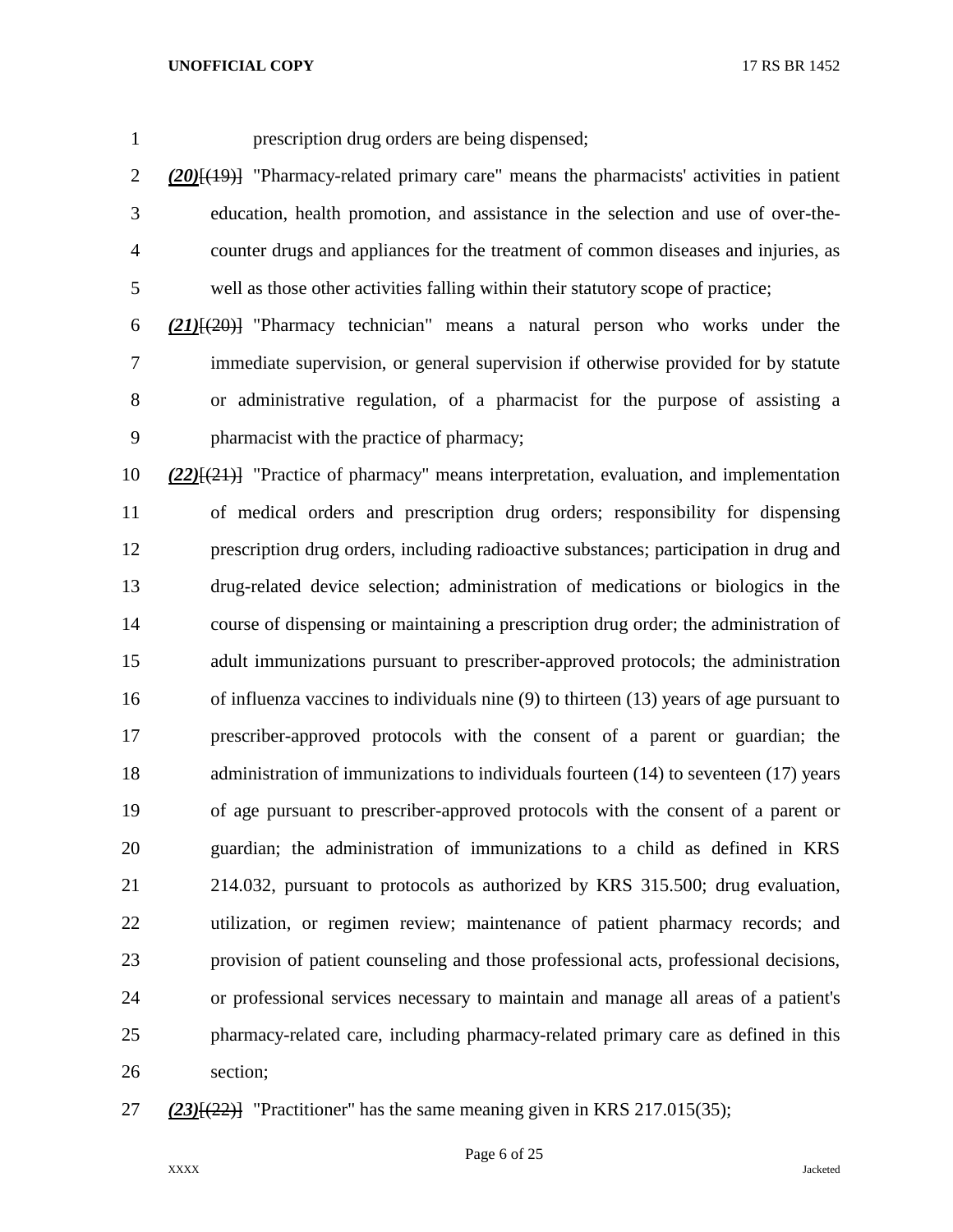prescription drug orders are being dispensed;

 *(20)*[(19)] "Pharmacy-related primary care" means the pharmacists' activities in patient education, health promotion, and assistance in the selection and use of over-the- counter drugs and appliances for the treatment of common diseases and injuries, as well as those other activities falling within their statutory scope of practice;

 *(21)*[(20)] "Pharmacy technician" means a natural person who works under the immediate supervision, or general supervision if otherwise provided for by statute or administrative regulation, of a pharmacist for the purpose of assisting a pharmacist with the practice of pharmacy;

 *(22)*[(21)] "Practice of pharmacy" means interpretation, evaluation, and implementation of medical orders and prescription drug orders; responsibility for dispensing prescription drug orders, including radioactive substances; participation in drug and drug-related device selection; administration of medications or biologics in the course of dispensing or maintaining a prescription drug order; the administration of adult immunizations pursuant to prescriber-approved protocols; the administration of influenza vaccines to individuals nine (9) to thirteen (13) years of age pursuant to prescriber-approved protocols with the consent of a parent or guardian; the administration of immunizations to individuals fourteen (14) to seventeen (17) years of age pursuant to prescriber-approved protocols with the consent of a parent or guardian; the administration of immunizations to a child as defined in KRS 214.032, pursuant to protocols as authorized by KRS 315.500; drug evaluation, utilization, or regimen review; maintenance of patient pharmacy records; and provision of patient counseling and those professional acts, professional decisions, or professional services necessary to maintain and manage all areas of a patient's pharmacy-related care, including pharmacy-related primary care as defined in this section;

*(23)*[(22)] "Practitioner" has the same meaning given in KRS 217.015(35);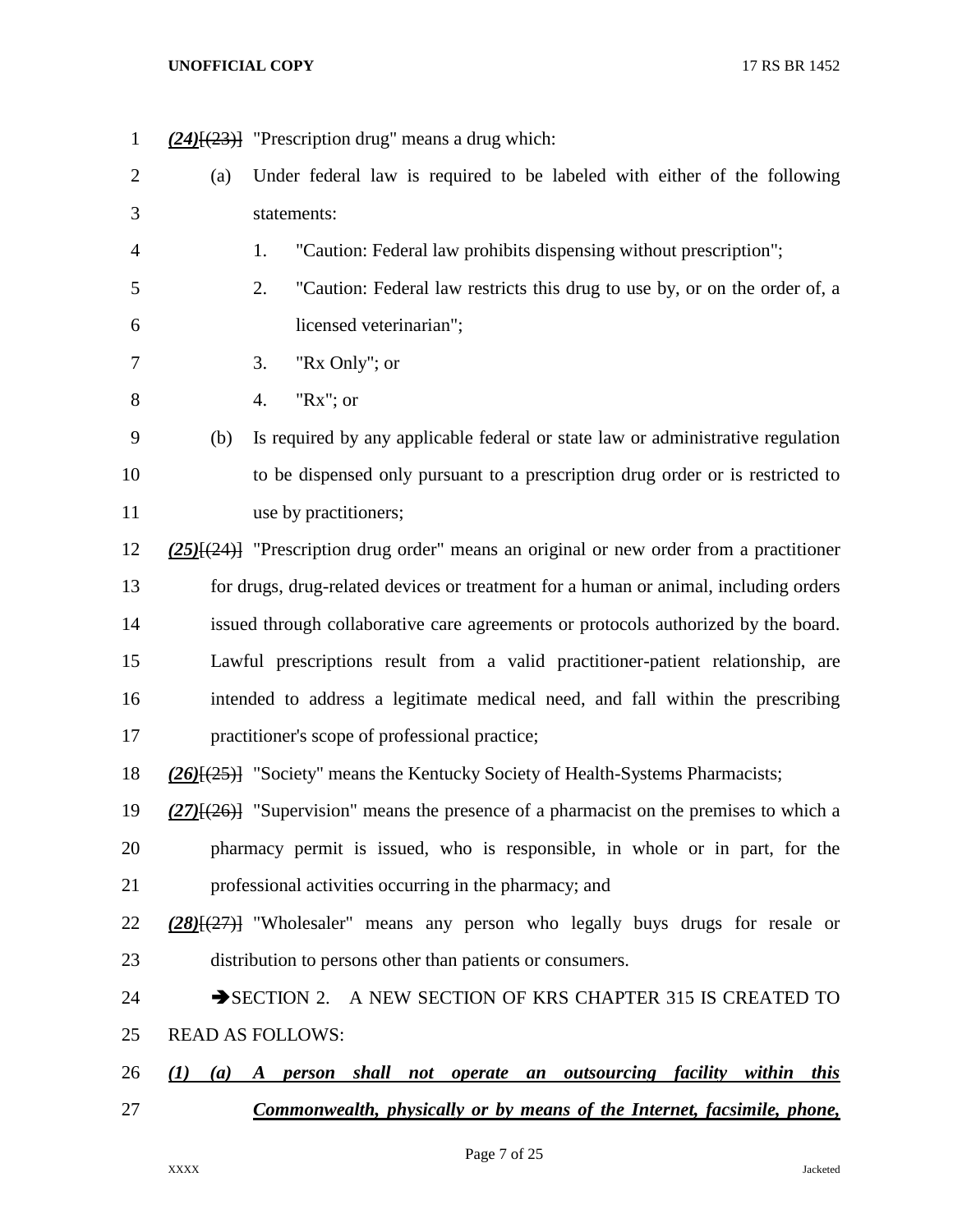*(24)*[(23)] "Prescription drug" means a drug which: (a) Under federal law is required to be labeled with either of the following statements: 1. "Caution: Federal law prohibits dispensing without prescription"; 2. "Caution: Federal law restricts this drug to use by, or on the order of, a licensed veterinarian"; 3. "Rx Only"; or 4. "Rx"; or (b) Is required by any applicable federal or state law or administrative regulation to be dispensed only pursuant to a prescription drug order or is restricted to 11 use by practitioners; *(25)*[(24)] "Prescription drug order" means an original or new order from a practitioner for drugs, drug-related devices or treatment for a human or animal, including orders issued through collaborative care agreements or protocols authorized by the board. Lawful prescriptions result from a valid practitioner-patient relationship, are intended to address a legitimate medical need, and fall within the prescribing practitioner's scope of professional practice; *(26)*[(25)] "Society" means the Kentucky Society of Health-Systems Pharmacists; *(27)*[(26)] "Supervision" means the presence of a pharmacist on the premises to which a pharmacy permit is issued, who is responsible, in whole or in part, for the professional activities occurring in the pharmacy; and *(28)*[(27)] "Wholesaler" means any person who legally buys drugs for resale or distribution to persons other than patients or consumers. 24 SECTION 2. A NEW SECTION OF KRS CHAPTER 315 IS CREATED TO READ AS FOLLOWS: *(1) (a) A person shall not operate an outsourcing facility within this Commonwealth, physically or by means of the Internet, facsimile, phone,* 

Page 7 of 25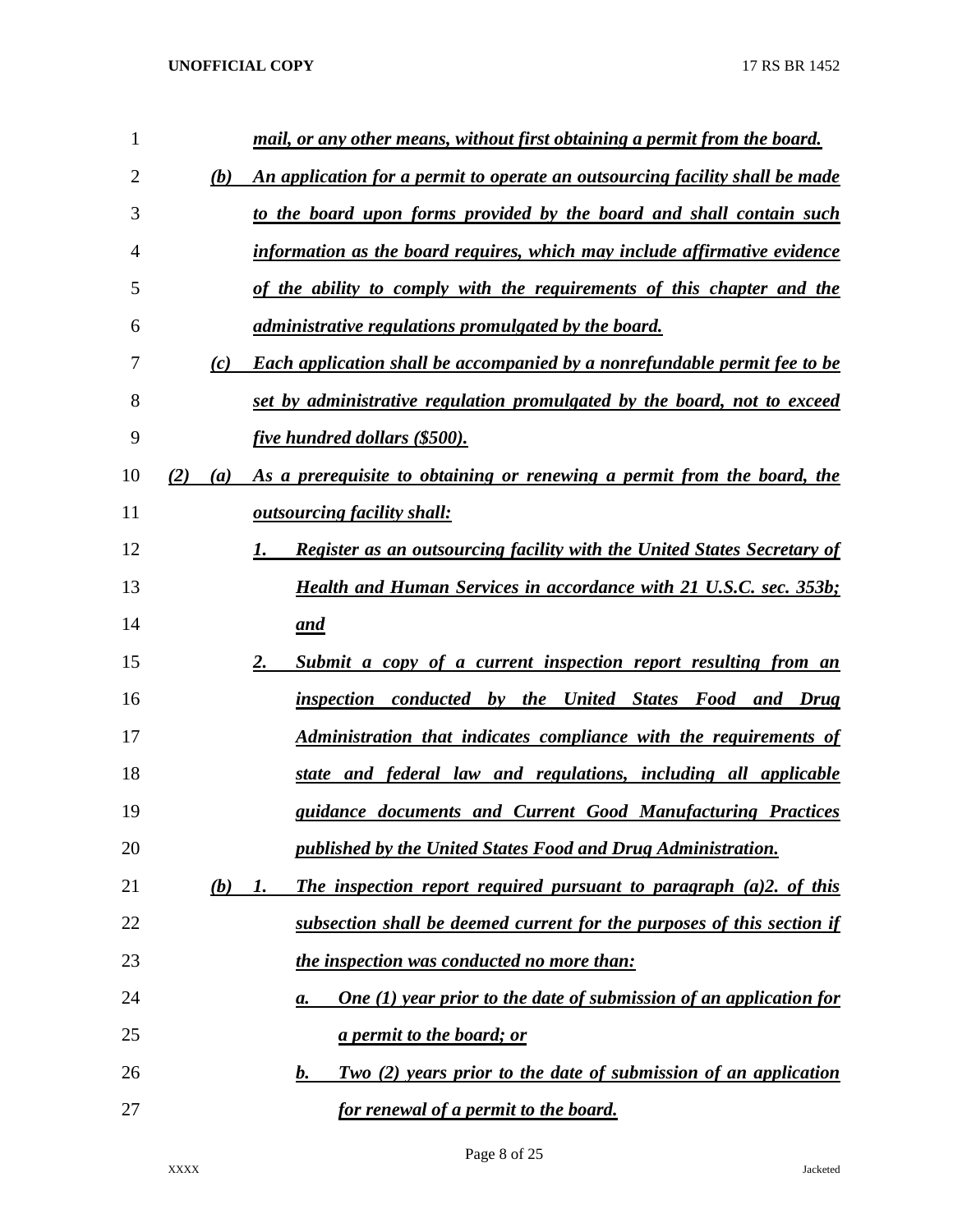| 1              |     |     | mail, or any other means, without first obtaining a permit from the board.       |
|----------------|-----|-----|----------------------------------------------------------------------------------|
| $\overline{2}$ |     | (b) | An application for a permit to operate an outsourcing facility shall be made     |
| 3              |     |     | to the board upon forms provided by the board and shall contain such             |
| 4              |     |     | information as the board requires, which may include affirmative evidence        |
| 5              |     |     | of the ability to comply with the requirements of this chapter and the           |
| 6              |     |     | <i>administrative regulations promulgated by the board.</i>                      |
| 7              |     | (c) | <b>Each application shall be accompanied by a nonrefundable permit fee to be</b> |
| 8              |     |     | set by administrative regulation promulgated by the board, not to exceed         |
| 9              |     |     | <i>five hundred dollars (\$500).</i>                                             |
| 10             | (2) | (a) | As a prerequisite to obtaining or renewing a permit from the board, the          |
| 11             |     |     | <i><b><u>outsourcing facility shall:</u></b></i>                                 |
| 12             |     |     | <b>Register as an outsourcing facility with the United States Secretary of</b>   |
| 13             |     |     | <b>Health and Human Services in accordance with 21 U.S.C. sec. 353b;</b>         |
| 14             |     |     | and                                                                              |
| 15             |     |     | Submit a copy of a current inspection report resulting from an<br>2.             |
| 16             |     |     | inspection conducted by the United States Food<br>and Drug                       |
| 17             |     |     | Administration that indicates compliance with the requirements of                |
| 18             |     |     | state and federal law and regulations, including all applicable                  |
| 19             |     |     | guidance documents and Current Good Manufacturing Practices                      |
| 20             |     |     | published by the United States Food and Drug Administration.                     |
| 21             |     | (b) | The inspection report required pursuant to paragraph (a)2. of this<br>1.         |
| 22             |     |     | subsection shall be deemed current for the purposes of this section if           |
| 23             |     |     | the inspection was conducted no more than:                                       |
| 24             |     |     | <b>One (1) year prior to the date of submission of an application for</b><br>a.  |
| 25             |     |     | <u>a permit to the board; or</u>                                                 |
| 26             |     |     | Two (2) years prior to the date of submission of an application<br>b.            |
| 27             |     |     | <u>for renewal of a permit to the board.</u>                                     |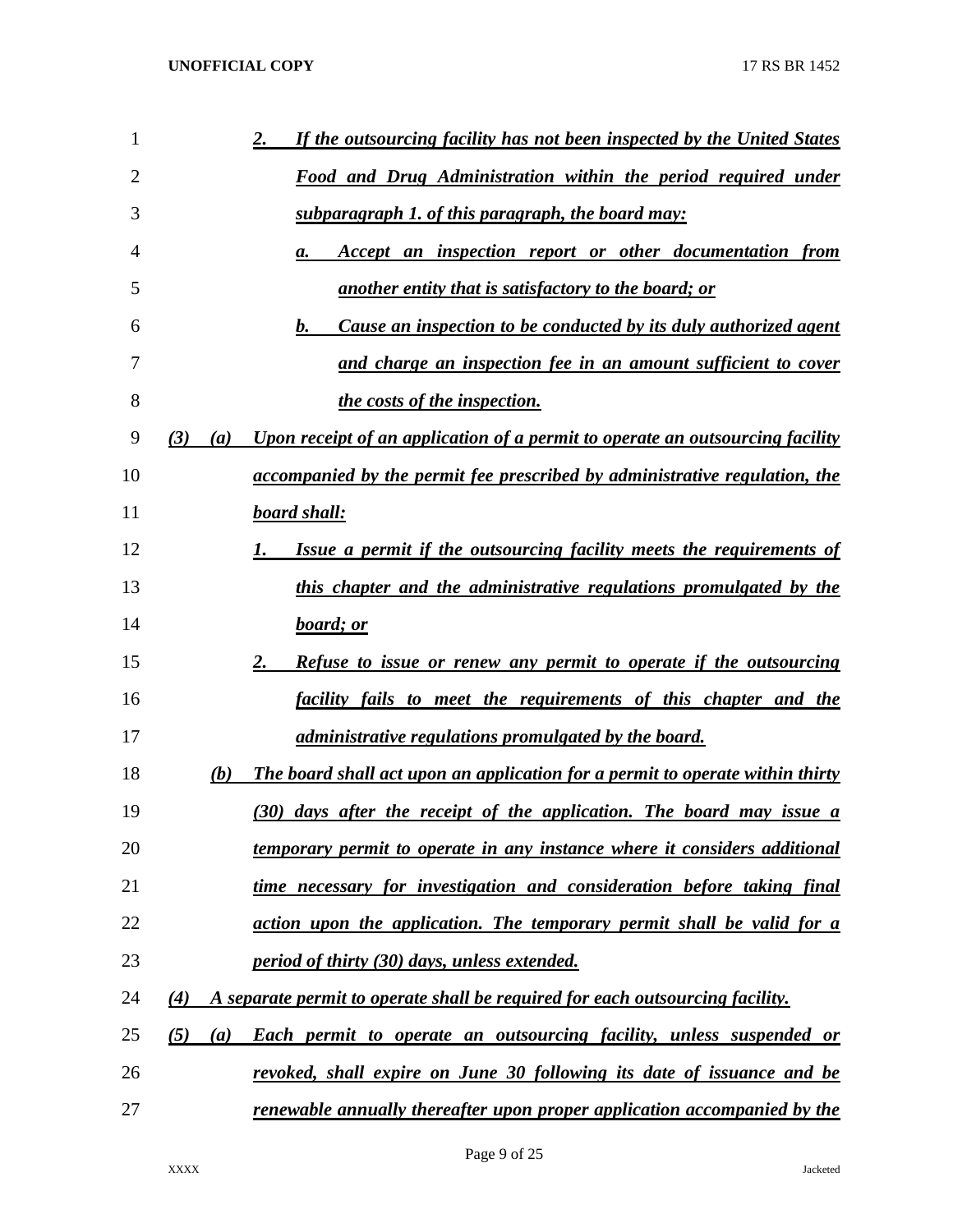| 1  | If the outsourcing facility has not been inspected by the United States<br><u>2.</u>                     |
|----|----------------------------------------------------------------------------------------------------------|
| 2  | <u>Food and Drug Administration within the period required under</u>                                     |
| 3  | subparagraph 1. of this paragraph, the board may:                                                        |
| 4  | Accept an inspection report or other documentation from<br>а.                                            |
| 5  | <u>another entity that is satisfactory to the board; or</u>                                              |
| 6  | Cause an inspection to be conducted by its duly authorized agent<br>b.                                   |
| 7  | and charge an inspection fee in an amount sufficient to cover                                            |
| 8  | the costs of the inspection.                                                                             |
| 9  | Upon receipt of an application of a permit to operate an outsourcing facility<br>(3)<br>$\left(a\right)$ |
| 10 | accompanied by the permit fee prescribed by administrative regulation, the                               |
| 11 | <b>board shall:</b>                                                                                      |
| 12 | Issue a permit if the outsourcing facility meets the requirements of<br>I.                               |
| 13 | this chapter and the administrative regulations promulgated by the                                       |
| 14 | board; or                                                                                                |
| 15 | <b>Refuse to issue or renew any permit to operate if the outsourcing</b><br>2.                           |
| 16 | <u>facility fails to meet the requirements of this chapter and the</u>                                   |
| 17 | <i>administrative regulations promulgated by the board.</i>                                              |
| 18 | The board shall act upon an application for a permit to operate within thirty<br>(b)                     |
| 19 | (30) days after the receipt of the application. The board may issue a                                    |
| 20 | <u>temporary permit to operate in any instance where it considers additional</u>                         |
| 21 | time necessary for investigation and consideration before taking final                                   |
| 22 | action upon the application. The temporary permit shall be valid for a                                   |
| 23 | <i>period of thirty (30) days, unless extended.</i>                                                      |
| 24 | A separate permit to operate shall be required for each outsourcing facility.<br>$\left( 4\right)$       |
| 25 | (5)<br><b>Each permit to operate an outsourcing facility, unless suspended or</b><br>(a)                 |
| 26 | revoked, shall expire on June 30 following its date of issuance and be                                   |
| 27 | renewable annually thereafter upon proper application accompanied by the                                 |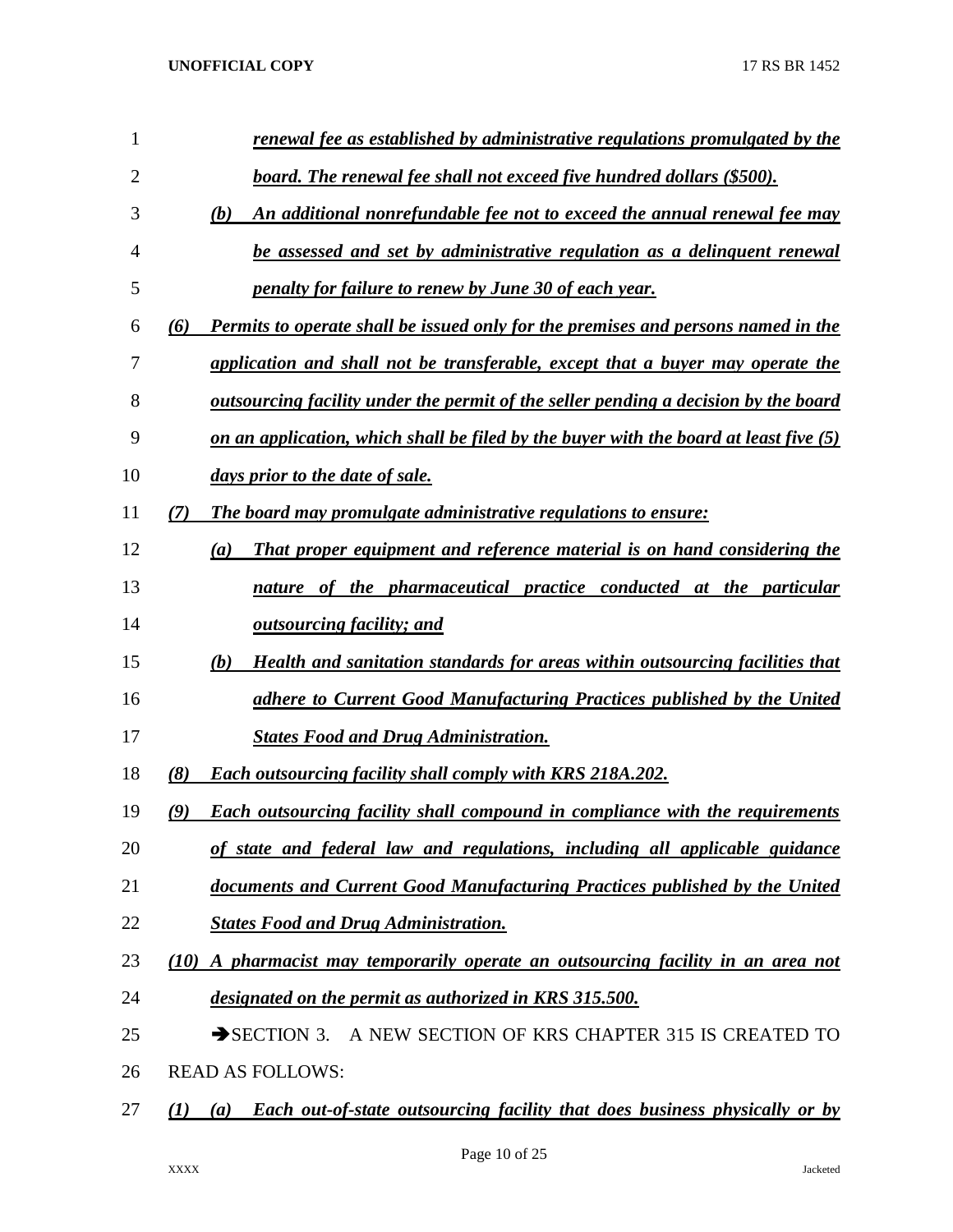| 1              | renewal fee as established by administrative regulations promulgated by the                                  |
|----------------|--------------------------------------------------------------------------------------------------------------|
| $\overline{2}$ | board. The renewal fee shall not exceed five hundred dollars (\$500).                                        |
| 3              | An additional nonrefundable fee not to exceed the annual renewal fee may<br>(b)                              |
| 4              | be assessed and set by administrative regulation as a delinguent renewal                                     |
| 5              | <u>penalty for failure to renew by June 30 of each year.</u>                                                 |
| 6              | Permits to operate shall be issued only for the premises and persons named in the<br>(6)                     |
| 7              | application and shall not be transferable, except that a buyer may operate the                               |
| 8              | <u>outsourcing facility under the permit of the seller pending a decision by the board</u>                   |
| 9              | on an application, which shall be filed by the buyer with the board at least five $(5)$                      |
| 10             | days prior to the date of sale.                                                                              |
| 11             | The board may promulgate administrative regulations to ensure:<br>$\mathcal{L}$                              |
| 12             | <b>That proper equipment and reference material is on hand considering the</b><br>(a)                        |
| 13             | nature of the pharmaceutical practice conducted at the particular                                            |
| 14             | <i><b><u>outsourcing facility; and</u></b></i>                                                               |
| 15             | (b)<br>Health and sanitation standards for areas within outsourcing facilities that                          |
| 16             | adhere to Current Good Manufacturing Practices published by the United                                       |
| 17             | <b>States Food and Drug Administration.</b>                                                                  |
| 18             | (8)<br><b>Each outsourcing facility shall comply with KRS 218A.202.</b>                                      |
| 19             | <b>Each outsourcing facility shall compound in compliance with the requirements</b><br>$\mathcal{L}(\bm{9})$ |
| 20             | of state and federal law and regulations, including all applicable guidance                                  |
| 21             | documents and Current Good Manufacturing Practices published by the United                                   |
| 22             | <b>States Food and Drug Administration.</b>                                                                  |
| 23             | (10)<br>A pharmacist may temporarily operate an outsourcing facility in an area not                          |
| 24             | designated on the permit as authorized in KRS 315.500.                                                       |
| 25             | SECTION 3. A NEW SECTION OF KRS CHAPTER 315 IS CREATED TO                                                    |
| 26             | <b>READ AS FOLLOWS:</b>                                                                                      |
| 27             | <b>Each out-of-state outsourcing facility that does business physically or by</b><br>(1)<br>(a)              |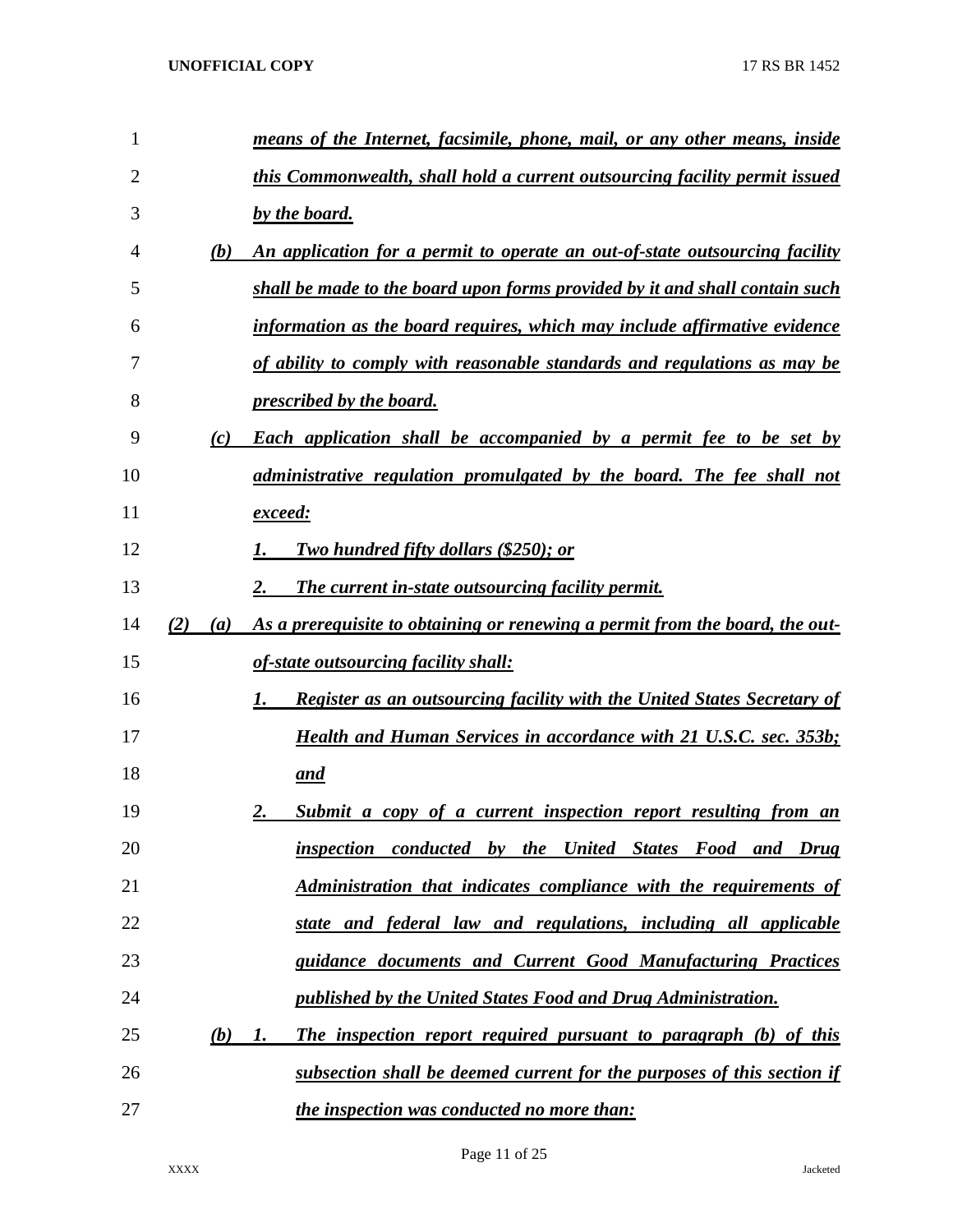| 1              |     |     | means of the Internet, facsimile, phone, mail, or any other means, inside            |
|----------------|-----|-----|--------------------------------------------------------------------------------------|
| $\overline{2}$ |     |     | this Commonwealth, shall hold a current outsourcing facility permit issued           |
| 3              |     |     | by the board.                                                                        |
| 4              |     | (b) | An application for a permit to operate an out-of-state outsourcing facility          |
| 5              |     |     | shall be made to the board upon forms provided by it and shall contain such          |
| 6              |     |     | information as the board requires, which may include affirmative evidence            |
| 7              |     |     | of ability to comply with reasonable standards and regulations as may be             |
| 8              |     |     | <i><u><b>prescribed by the board.</b></u></i>                                        |
| 9              |     | (c) | <b>Each application shall be accompanied by a permit fee to be set by</b>            |
| 10             |     |     | administrative regulation promulgated by the board. The fee shall not                |
| 11             |     |     | <u>exceed:</u>                                                                       |
| 12             |     |     | <b>Two hundred fifty dollars (\$250); or</b>                                         |
| 13             |     |     | The current in-state outsourcing facility permit.                                    |
| 14             | (2) | (a) | As a prerequisite to obtaining or renewing a permit from the board, the out-         |
| 15             |     |     | of-state outsourcing facility shall:                                                 |
| 16             |     |     | <b>Register as an outsourcing facility with the United States Secretary of</b><br>1. |
| 17             |     |     | <b>Health and Human Services in accordance with 21 U.S.C. sec. 353b;</b>             |
| 18             |     |     | <u>and</u>                                                                           |
| 19             |     |     | Submit a copy of a current inspection report resulting from an<br>2.                 |
| 20             |     |     | inspection conducted by the United States Food and Drug                              |
| 21             |     |     | Administration that indicates compliance with the requirements of                    |
| 22             |     |     | state and federal law and regulations, including all applicable                      |
| 23             |     |     | guidance documents and Current Good Manufacturing Practices                          |
| 24             |     |     | published by the United States Food and Drug Administration.                         |
| 25             |     | (b) | The inspection report required pursuant to paragraph (b) of this<br>1.               |
| 26             |     |     | subsection shall be deemed current for the purposes of this section if               |
| 27             |     |     | the inspection was conducted no more than:                                           |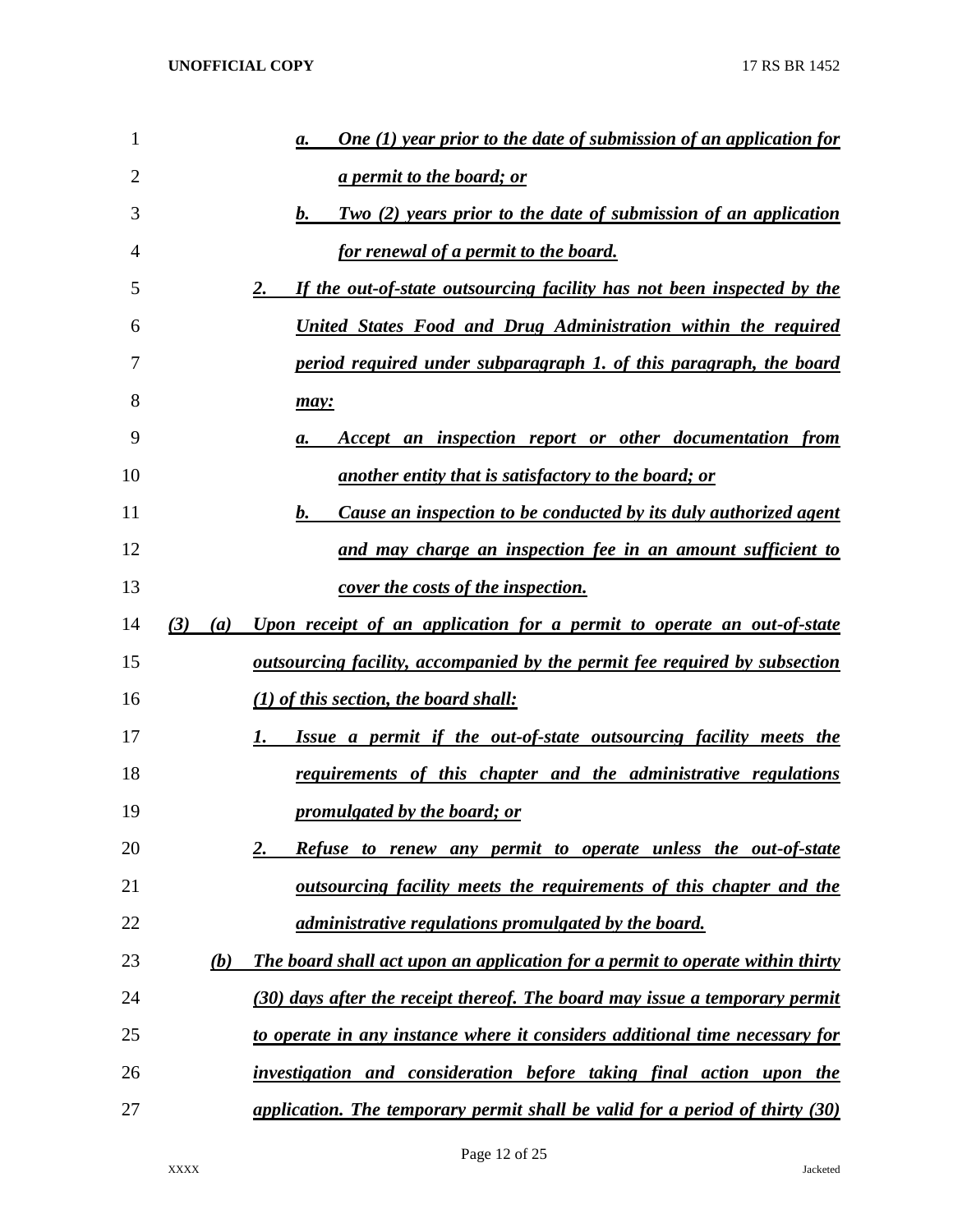| 1              |            | One $(1)$ year prior to the date of submission of an application for<br>a.    |
|----------------|------------|-------------------------------------------------------------------------------|
| $\overline{2}$ |            | <u>a permit to the board; or</u>                                              |
| 3              |            | Two (2) years prior to the date of submission of an application<br>b.         |
| 4              |            | for renewal of a permit to the board.                                         |
| 5              |            | If the out-of-state outsourcing facility has not been inspected by the<br>2.  |
| 6              |            | United States Food and Drug Administration within the required                |
| 7              |            | period required under subparagraph 1. of this paragraph, the board            |
| 8              |            | may:                                                                          |
| 9              |            | Accept an inspection report or other documentation from<br>а.                 |
| 10             |            | <u>another entity that is satisfactory to the board; or</u>                   |
| 11             |            | b.<br>Cause an inspection to be conducted by its duly authorized agent        |
| 12             |            | and may charge an inspection fee in an amount sufficient to                   |
| 13             |            | <u>cover the costs of the inspection.</u>                                     |
| 14             | (3)<br>(a) | Upon receipt of an application for a permit to operate an out-of-state        |
| 15             |            | outsourcing facility, accompanied by the permit fee required by subsection    |
| 16             |            | $(1)$ of this section, the board shall:                                       |
| 17             |            | Issue a permit if the out-of-state outsourcing facility meets the<br>1.       |
| 18             |            | requirements of this chapter and the administrative regulations               |
| 19             |            | promulgated by the board; or                                                  |
| 20             |            | Refuse to renew any permit to operate unless the out-of-state                 |
| 21             |            | outsourcing facility meets the requirements of this chapter and the           |
| 22             |            | <i>administrative regulations promulgated by the board.</i>                   |
| 23             | (b)        | The board shall act upon an application for a permit to operate within thirty |
| 24             |            | (30) days after the receipt thereof. The board may issue a temporary permit   |
| 25             |            | to operate in any instance where it considers additional time necessary for   |
| 26             |            | investigation and consideration before taking final action upon the           |
| 27             |            | application. The temporary permit shall be valid for a period of thirty (30)  |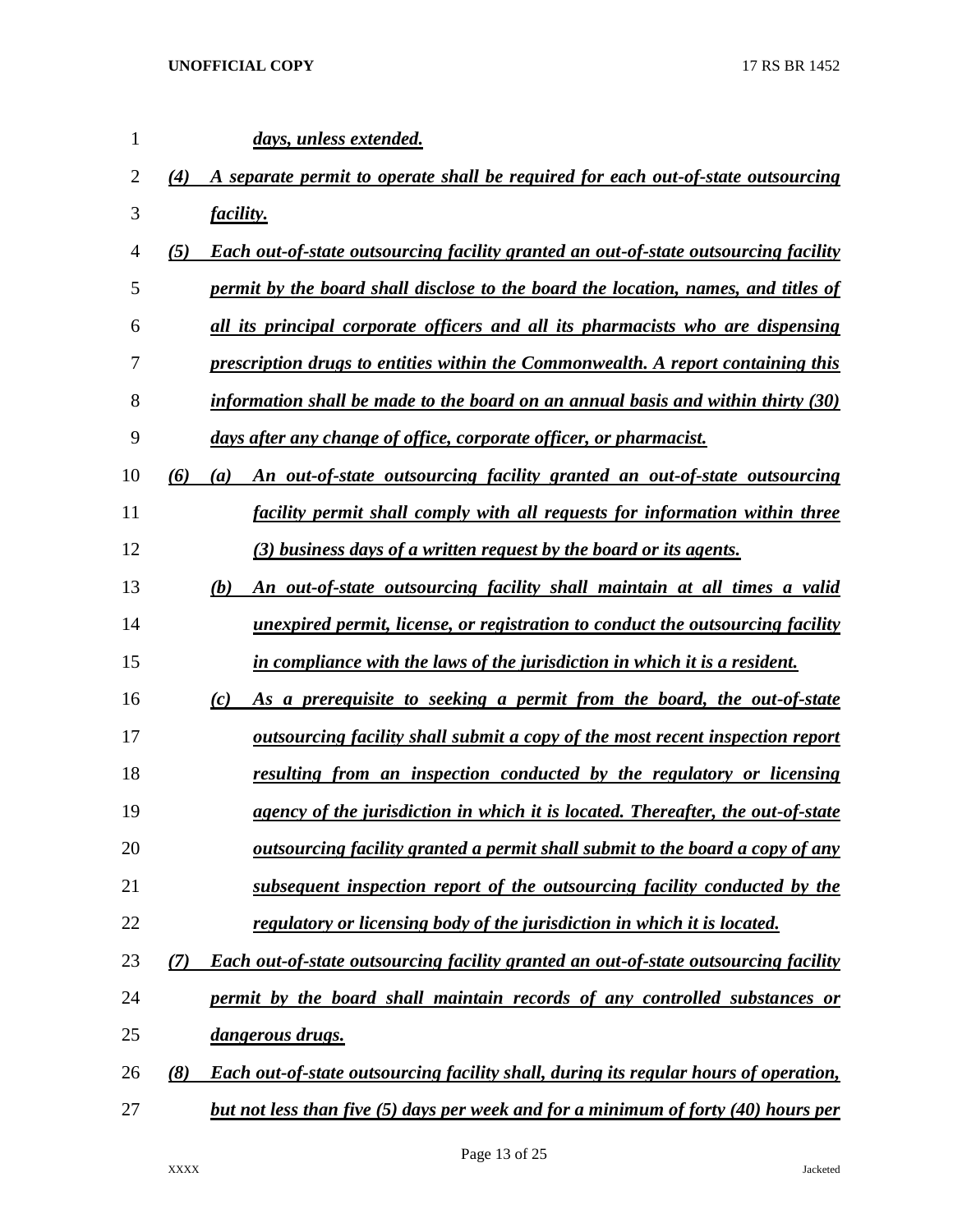| $\mathbf{1}$ | days, unless extended.                                                                              |
|--------------|-----------------------------------------------------------------------------------------------------|
| 2            | A separate permit to operate shall be required for each out-of-state outsourcing<br>(4)             |
| 3            | <i>facility.</i>                                                                                    |
| 4            | <b>Each out-of-state outsourcing facility granted an out-of-state outsourcing facility</b><br>(5)   |
| 5            | permit by the board shall disclose to the board the location, names, and titles of                  |
| 6            | all its principal corporate officers and all its pharmacists who are dispensing                     |
| 7            | prescription drugs to entities within the Commonwealth. A report containing this                    |
| 8            | information shall be made to the board on an annual basis and within thirty $(30)$                  |
| 9            | days after any change of office, corporate officer, or pharmacist.                                  |
| 10           | An out-of-state outsourcing facility granted an out-of-state outsourcing<br>(6)<br>$\left(a\right)$ |
| 11           | <i>facility permit shall comply with all requests for information within three</i>                  |
| 12           | (3) business days of a written request by the board or its agents.                                  |
| 13           | An out-of-state outsourcing facility shall maintain at all times a valid<br>(b)                     |
| 14           | <u>unexpired permit, license, or registration to conduct the outsourcing facility</u>               |
| 15           | in compliance with the laws of the jurisdiction in which it is a resident.                          |
| 16           | As a prerequisite to seeking a permit from the board, the out-of-state<br>$\left( c\right)$         |
| 17           | <u>outsourcing facility shall submit a copy of the most recent inspection report</u>                |
| 18           | resulting from an inspection conducted by the regulatory or licensing                               |
| 19           | agency of the jurisdiction in which it is located. Thereafter, the out-of-state                     |
| 20           | outsourcing facility granted a permit shall submit to the board a copy of any                       |
| 21           | subsequent inspection report of the outsourcing facility conducted by the                           |
| 22           | regulatory or licensing body of the jurisdiction in which it is located.                            |
| 23           | Each out-of-state outsourcing facility granted an out-of-state outsourcing facility<br>(7)          |
| 24           | permit by the board shall maintain records of any controlled substances or                          |
| 25           | dangerous drugs.                                                                                    |
| 26           | <b>Each out-of-state outsourcing facility shall, during its regular hours of operation,</b><br>(8)  |
| 27           | but not less than five (5) days per week and for a minimum of forty (40) hours per                  |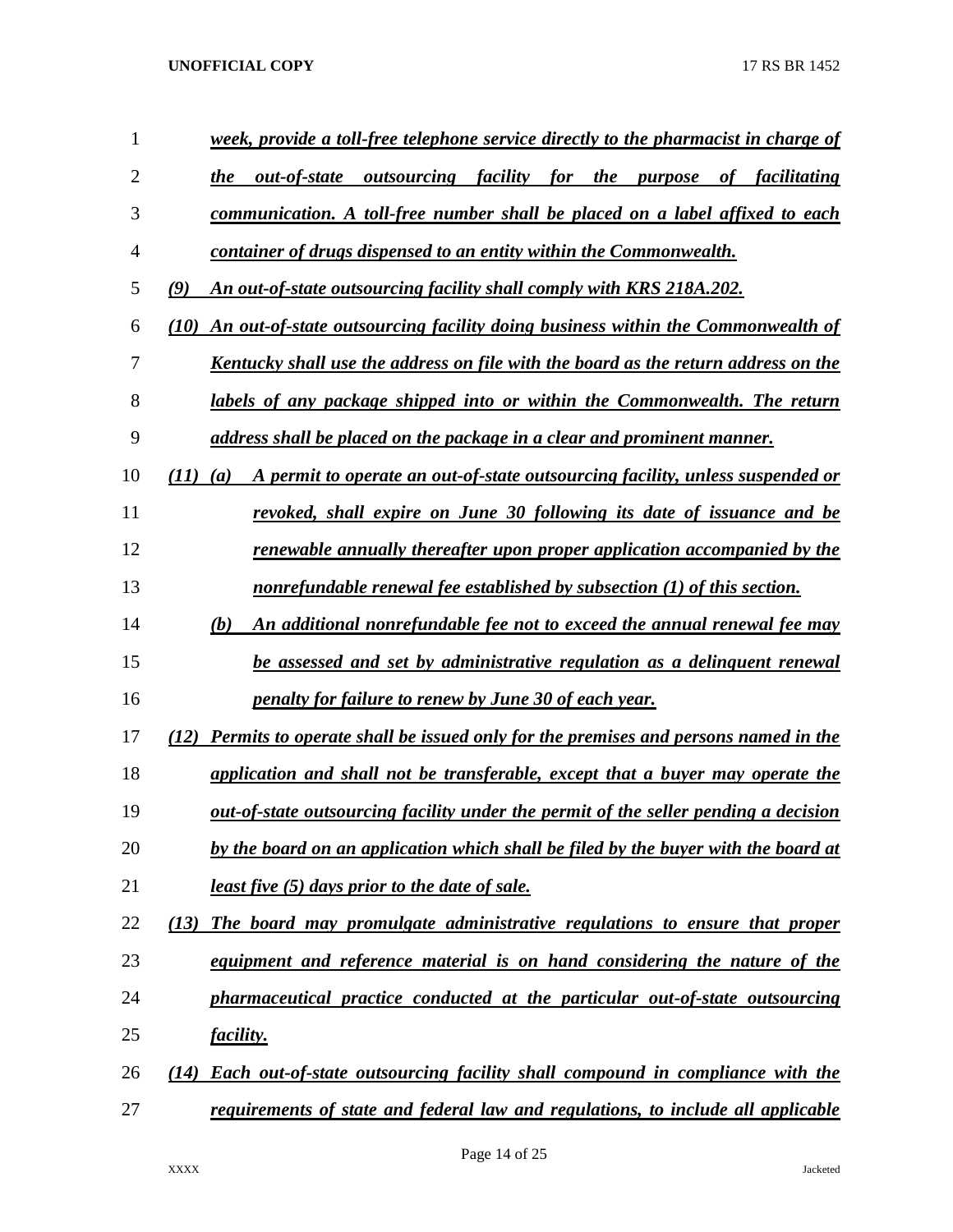| 1              | week, provide a toll-free telephone service directly to the pharmacist in charge of          |
|----------------|----------------------------------------------------------------------------------------------|
| $\overline{2}$ | <i>outsourcing facility for the purpose</i><br>out-of-state<br>of facilitating<br>the        |
| 3              | communication. A toll-free number shall be placed on a label affixed to each                 |
| $\overline{4}$ | container of drugs dispensed to an entity within the Commonwealth.                           |
| 5              | (9)<br>An out-of-state outsourcing facility shall comply with KRS 218A.202.                  |
| 6              | An out-of-state outsourcing facility doing business within the Commonwealth of<br>(10)       |
| 7              | Kentucky shall use the address on file with the board as the return address on the           |
| 8              | labels of any package shipped into or within the Commonwealth. The return                    |
| 9              | address shall be placed on the package in a clear and prominent manner.                      |
| 10             | A permit to operate an out-of-state outsourcing facility, unless suspended or<br>(11)<br>(a) |
| 11             | revoked, shall expire on June 30 following its date of issuance and be                       |
| 12             | renewable annually thereafter upon proper application accompanied by the                     |
| 13             | nonrefundable renewal fee established by subsection (1) of this section.                     |
| 14             | An additional nonrefundable fee not to exceed the annual renewal fee may<br>(b)              |
| 15             | be assessed and set by administrative regulation as a delinquent renewal                     |
| 16             | <u>penalty for failure to renew by June 30 of each year.</u>                                 |
| 17             | Permits to operate shall be issued only for the premises and persons named in the<br>(12)    |
| 18             | application and shall not be transferable, except that a buyer may operate the               |
| 19             | out-of-state outsourcing facility under the permit of the seller pending a decision          |
| 20             | by the board on an application which shall be filed by the buyer with the board at           |
| 21             | <u>least five (5) days prior to the date of sale.</u>                                        |
| 22             | The board may promulgate administrative regulations to ensure that proper<br>(13)            |
| 23             | equipment and reference material is on hand considering the nature of the                    |
| 24             | pharmaceutical practice conducted at the particular out-of-state outsourcing                 |
| 25             | <i>facility.</i>                                                                             |
| 26             | <b>Each out-of-state outsourcing facility shall compound in compliance with the</b><br>(14)  |
| 27             | requirements of state and federal law and regulations, to include all applicable             |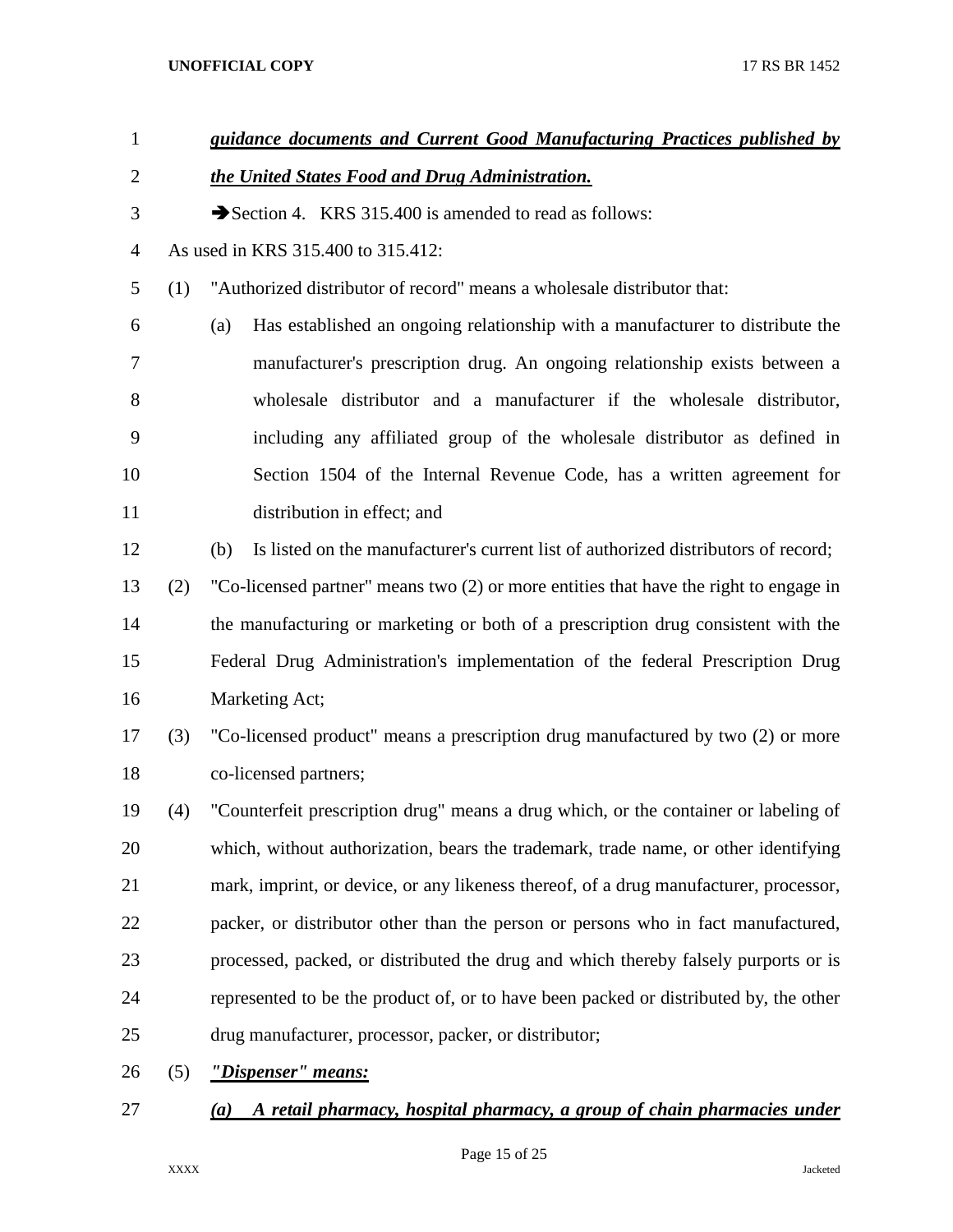| $\mathbf{1}$   |     | guidance documents and Current Good Manufacturing Practices published by                    |
|----------------|-----|---------------------------------------------------------------------------------------------|
| $\overline{2}$ |     | the United States Food and Drug Administration.                                             |
| 3              |     | Section 4. KRS 315.400 is amended to read as follows:                                       |
| $\overline{4}$ |     | As used in KRS 315.400 to 315.412:                                                          |
| 5              | (1) | "Authorized distributor of record" means a wholesale distributor that:                      |
| 6              |     | Has established an ongoing relationship with a manufacturer to distribute the<br>(a)        |
| 7              |     | manufacturer's prescription drug. An ongoing relationship exists between a                  |
| 8              |     | wholesale distributor and a manufacturer if the wholesale distributor,                      |
| 9              |     | including any affiliated group of the wholesale distributor as defined in                   |
| 10             |     | Section 1504 of the Internal Revenue Code, has a written agreement for                      |
| 11             |     | distribution in effect; and                                                                 |
| 12             |     | Is listed on the manufacturer's current list of authorized distributors of record;<br>(b)   |
| 13             | (2) | "Co-licensed partner" means two (2) or more entities that have the right to engage in       |
| 14             |     | the manufacturing or marketing or both of a prescription drug consistent with the           |
| 15             |     | Federal Drug Administration's implementation of the federal Prescription Drug               |
| 16             |     | Marketing Act;                                                                              |
| 17             | (3) | "Co-licensed product" means a prescription drug manufactured by two (2) or more             |
| 18             |     | co-licensed partners;                                                                       |
| 19             | (4) | "Counterfeit prescription drug" means a drug which, or the container or labeling of         |
| 20             |     | which, without authorization, bears the trademark, trade name, or other identifying         |
| 21             |     | mark, imprint, or device, or any likeness thereof, of a drug manufacturer, processor,       |
| 22             |     | packer, or distributor other than the person or persons who in fact manufactured,           |
| 23             |     | processed, packed, or distributed the drug and which thereby falsely purports or is         |
| 24             |     | represented to be the product of, or to have been packed or distributed by, the other       |
| 25             |     | drug manufacturer, processor, packer, or distributor;                                       |
| 26             | (5) | "Dispenser" means:                                                                          |
| 27             |     | A retail pharmacy, hospital pharmacy, a group of chain pharmacies under<br>$\left(a\right)$ |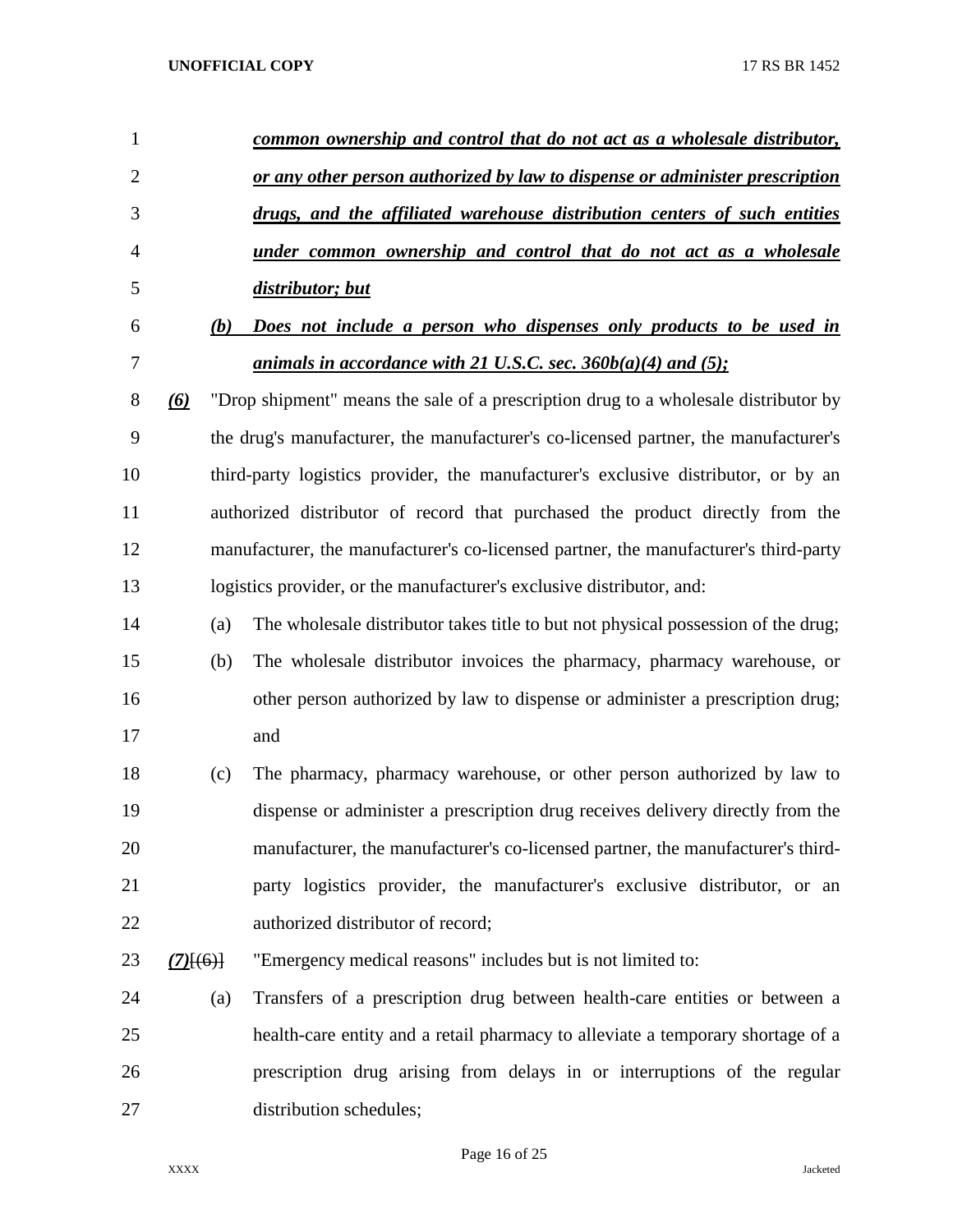| $\mathbf{1}$   |                   | common ownership and control that do not act as a wholesale distributor,             |
|----------------|-------------------|--------------------------------------------------------------------------------------|
| $\overline{2}$ |                   | or any other person authorized by law to dispense or administer prescription         |
| 3              |                   | drugs, and the affiliated warehouse distribution centers of such entities            |
| 4              |                   | <u>under common ownership and control that do not act as a wholesale</u>             |
| 5              |                   | distributor; but                                                                     |
| 6              | (b)               | Does not include a person who dispenses only products to be used in                  |
| 7              |                   | animals in accordance with 21 U.S.C. sec. $360b(a)(4)$ and $(5)$ ;                   |
| 8              | $\left( 6\right)$ | "Drop shipment" means the sale of a prescription drug to a wholesale distributor by  |
| 9              |                   | the drug's manufacturer, the manufacturer's co-licensed partner, the manufacturer's  |
| 10             |                   | third-party logistics provider, the manufacturer's exclusive distributor, or by an   |
| 11             |                   | authorized distributor of record that purchased the product directly from the        |
| 12             |                   | manufacturer, the manufacturer's co-licensed partner, the manufacturer's third-party |
| 13             |                   | logistics provider, or the manufacturer's exclusive distributor, and:                |
| 14             | (a)               | The wholesale distributor takes title to but not physical possession of the drug;    |
| 15             | (b)               | The wholesale distributor invoices the pharmacy, pharmacy warehouse, or              |
| 16             |                   | other person authorized by law to dispense or administer a prescription drug;        |
| 17             |                   | and                                                                                  |
| 18             | (c)               | The pharmacy, pharmacy warehouse, or other person authorized by law to               |
| 19             |                   | dispense or administer a prescription drug receives delivery directly from the       |
| 20             |                   | manufacturer, the manufacturer's co-licensed partner, the manufacturer's third-      |
| 21             |                   | party logistics provider, the manufacturer's exclusive distributor, or an            |
| 22             |                   | authorized distributor of record;                                                    |
| 23             | $(7)$ [(6)]       | "Emergency medical reasons" includes but is not limited to:                          |
| 24             | (a)               | Transfers of a prescription drug between health-care entities or between a           |
| 25             |                   | health-care entity and a retail pharmacy to alleviate a temporary shortage of a      |
| 26             |                   | prescription drug arising from delays in or interruptions of the regular             |
| 27             |                   | distribution schedules;                                                              |

Page 16 of 25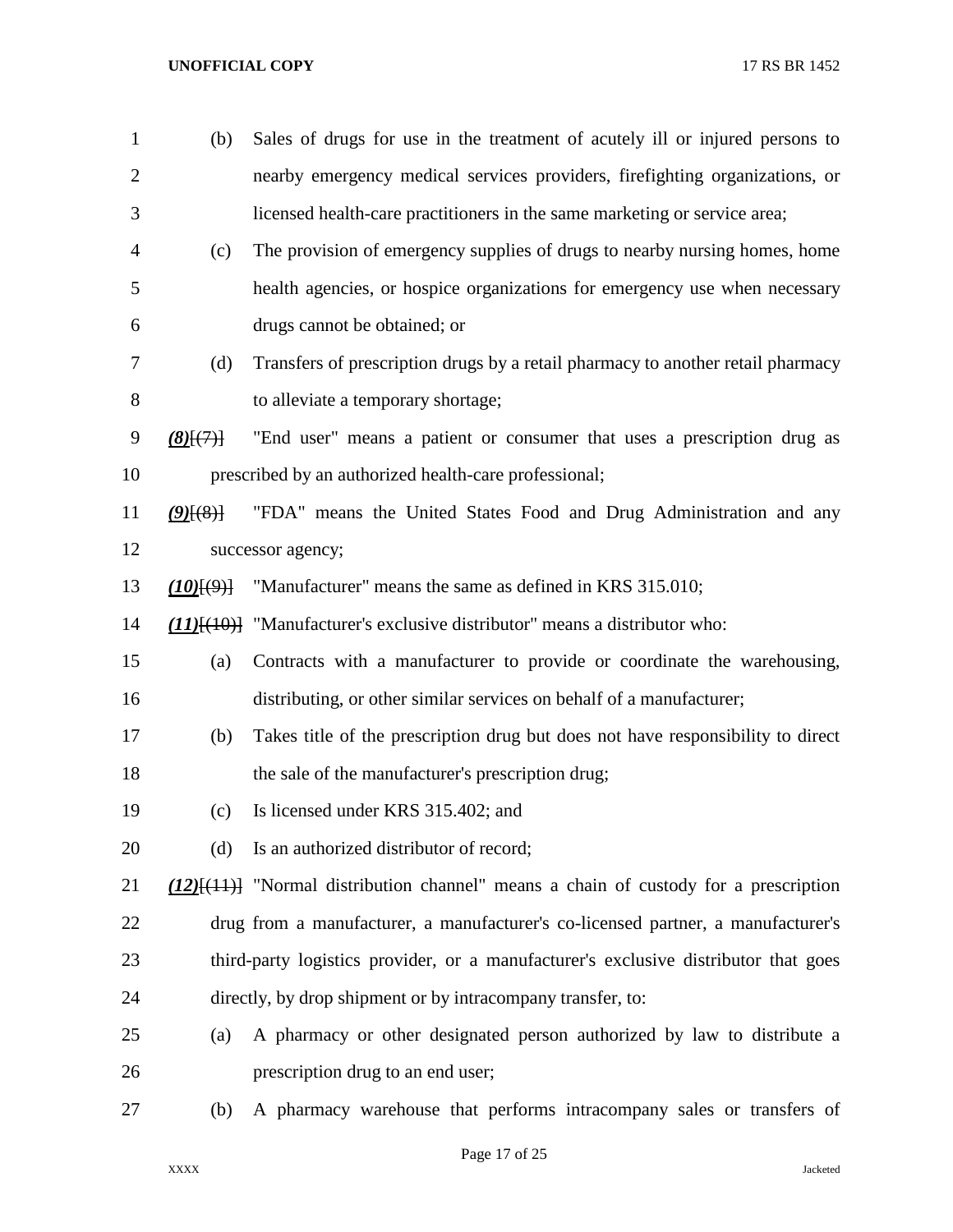| $\mathbf{1}$   | (b)                | Sales of drugs for use in the treatment of acutely ill or injured persons to                |
|----------------|--------------------|---------------------------------------------------------------------------------------------|
| $\overline{2}$ |                    | nearby emergency medical services providers, firefighting organizations, or                 |
| 3              |                    | licensed health-care practitioners in the same marketing or service area;                   |
| 4              | (c)                | The provision of emergency supplies of drugs to nearby nursing homes, home                  |
| 5              |                    | health agencies, or hospice organizations for emergency use when necessary                  |
| 6              |                    | drugs cannot be obtained; or                                                                |
| 7              | (d)                | Transfers of prescription drugs by a retail pharmacy to another retail pharmacy             |
| 8              |                    | to alleviate a temporary shortage;                                                          |
| 9              | $(8)$ $\{7\}$      | "End user" means a patient or consumer that uses a prescription drug as                     |
| 10             |                    | prescribed by an authorized health-care professional;                                       |
| 11             | $(9)$ $(8)$ }      | "FDA" means the United States Food and Drug Administration and any                          |
| 12             |                    | successor agency;                                                                           |
| 13             | $(10)$ $(9)$ $(9)$ | "Manufacturer" means the same as defined in KRS 315.010;                                    |
| 14             |                    | $(11)$ [ $(10)$ ] "Manufacturer's exclusive distributor" means a distributor who:           |
| 15             | (a)                | Contracts with a manufacturer to provide or coordinate the warehousing,                     |
| 16             |                    | distributing, or other similar services on behalf of a manufacturer;                        |
| 17             | (b)                | Takes title of the prescription drug but does not have responsibility to direct             |
| 18             |                    | the sale of the manufacturer's prescription drug;                                           |
| 19             | (c)                | Is licensed under KRS 315.402; and                                                          |
| 20             | (d)                | Is an authorized distributor of record;                                                     |
| 21             |                    | $(12)$ [ $(11)$ ] "Normal distribution channel" means a chain of custody for a prescription |
| 22             |                    | drug from a manufacturer, a manufacturer's co-licensed partner, a manufacturer's            |
| 23             |                    | third-party logistics provider, or a manufacturer's exclusive distributor that goes         |
| 24             |                    | directly, by drop shipment or by intracompany transfer, to:                                 |
| 25             | (a)                | A pharmacy or other designated person authorized by law to distribute a                     |
| 26             |                    | prescription drug to an end user;                                                           |
| 27             | (b)                | A pharmacy warehouse that performs intracompany sales or transfers of                       |

Page 17 of 25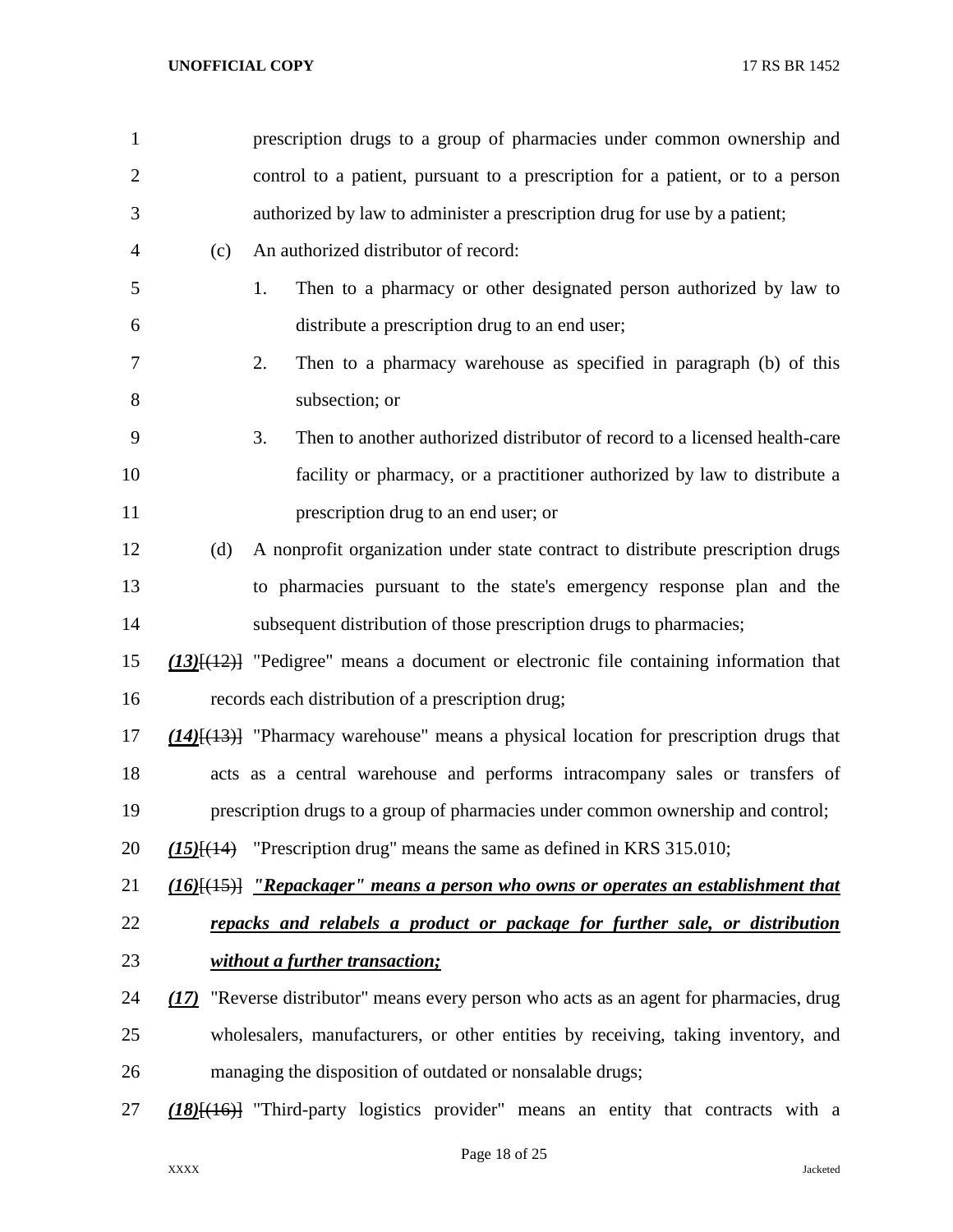| $\mathbf{1}$   |      | prescription drugs to a group of pharmacies under common ownership and                                     |
|----------------|------|------------------------------------------------------------------------------------------------------------|
| $\overline{2}$ |      | control to a patient, pursuant to a prescription for a patient, or to a person                             |
| 3              |      | authorized by law to administer a prescription drug for use by a patient;                                  |
| 4              | (c)  | An authorized distributor of record:                                                                       |
| 5              |      | Then to a pharmacy or other designated person authorized by law to<br>1.                                   |
| 6              |      | distribute a prescription drug to an end user;                                                             |
| 7              |      | Then to a pharmacy warehouse as specified in paragraph (b) of this<br>2.                                   |
| 8              |      | subsection; or                                                                                             |
| 9              |      | Then to another authorized distributor of record to a licensed health-care<br>3.                           |
| 10             |      | facility or pharmacy, or a practitioner authorized by law to distribute a                                  |
| 11             |      | prescription drug to an end user; or                                                                       |
| 12             | (d)  | A nonprofit organization under state contract to distribute prescription drugs                             |
| 13             |      | to pharmacies pursuant to the state's emergency response plan and the                                      |
| 14             |      | subsequent distribution of those prescription drugs to pharmacies;                                         |
| 15             |      | $(13)$ [ $(12)$ ] "Pedigree" means a document or electronic file containing information that               |
| 16             |      | records each distribution of a prescription drug;                                                          |
| 17             |      | $(14)$ [ $(13)$ ] "Pharmacy warehouse" means a physical location for prescription drugs that               |
| 18             |      | acts as a central warehouse and performs intracompany sales or transfers of                                |
| 19             |      | prescription drugs to a group of pharmacies under common ownership and control;                            |
| 20             |      | $(15)$ [ $(14)$ "Prescription drug" means the same as defined in KRS 315.010;                              |
| 21             |      | $\underline{(16)}[\overline{(15)}]$ "Repackager" means a person who owns or operates an establishment that |
| 22             |      | repacks and relabels a product or package for further sale, or distribution                                |
| 23             |      | without a further transaction;                                                                             |
| 24             | (17) | "Reverse distributor" means every person who acts as an agent for pharmacies, drug                         |
| 25             |      | wholesalers, manufacturers, or other entities by receiving, taking inventory, and                          |
| 26             |      | managing the disposition of outdated or nonsalable drugs;                                                  |
| 27             |      | $(18)$ [(16)] "Third-party logistics provider" means an entity that contracts with a                       |
|                |      |                                                                                                            |

Page 18 of 25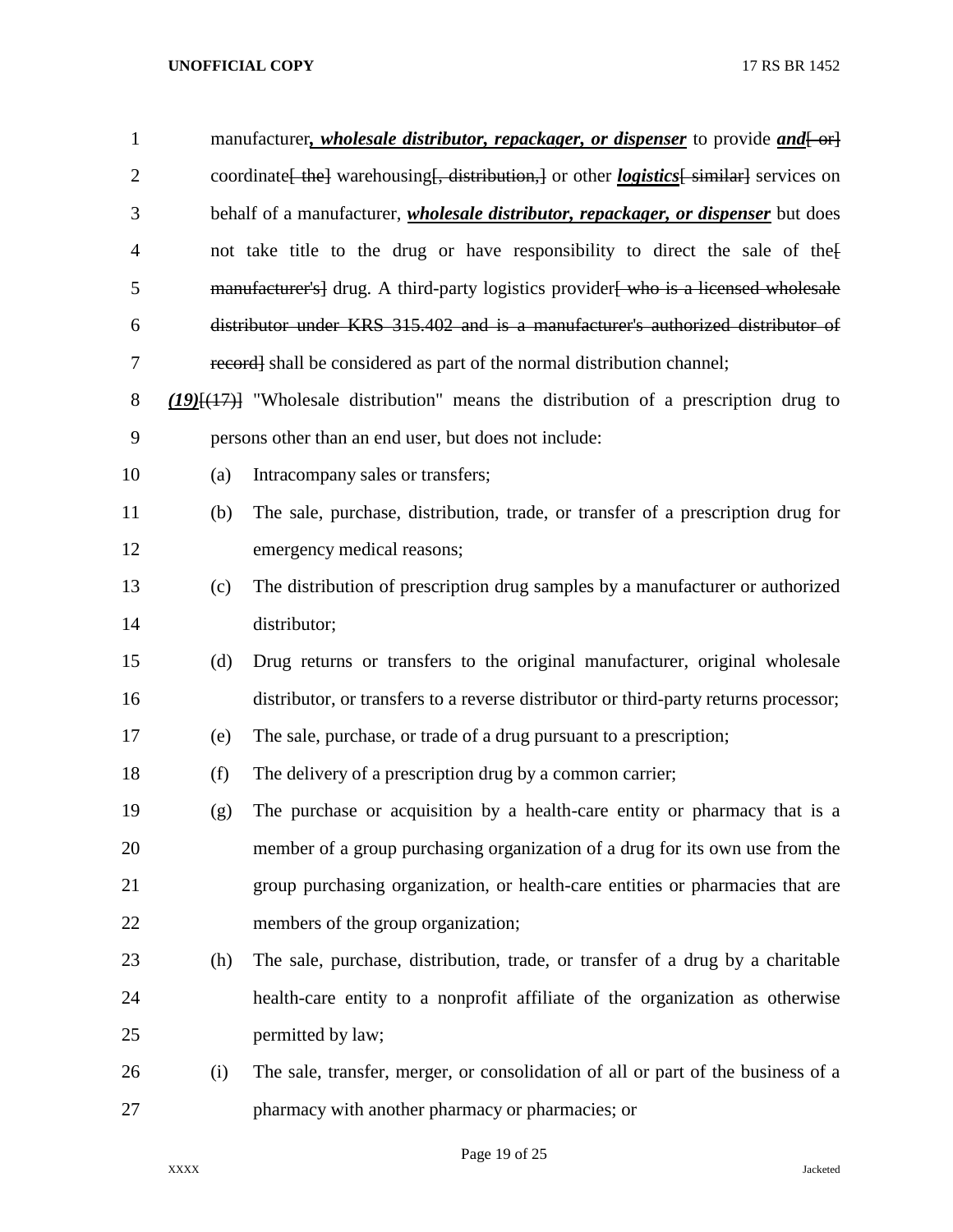| 1              |     | manufacturer, <i>wholesale distributor, repackager, or dispenser</i> to provide <i>and</i> [-or]          |
|----------------|-----|-----------------------------------------------------------------------------------------------------------|
| $\overline{2}$ |     | coordinate [the] warehousing [, distribution,] or other <i>logistics</i> [similar] services on            |
| 3              |     | behalf of a manufacturer, <i>wholesale distributor</i> , <i>repackager</i> , <i>or dispenser</i> but does |
| $\overline{4}$ |     | not take title to the drug or have responsibility to direct the sale of the                               |
| 5              |     | manufacturer's] drug. A third-party logistics provider who is a licensed wholesale                        |
| 6              |     | distributor under KRS 315.402 and is a manufacturer's authorized distributor of                           |
| 7              |     | record] shall be considered as part of the normal distribution channel;                                   |
| 8              |     | $(19)(17)$ "Wholesale distribution" means the distribution of a prescription drug to                      |
| 9              |     | persons other than an end user, but does not include:                                                     |
| 10             | (a) | Intracompany sales or transfers;                                                                          |
| 11             | (b) | The sale, purchase, distribution, trade, or transfer of a prescription drug for                           |
| 12             |     | emergency medical reasons;                                                                                |
| 13             | (c) | The distribution of prescription drug samples by a manufacturer or authorized                             |
| 14             |     | distributor;                                                                                              |
| 15             | (d) | Drug returns or transfers to the original manufacturer, original wholesale                                |
| 16             |     | distributor, or transfers to a reverse distributor or third-party returns processor;                      |
| 17             | (e) | The sale, purchase, or trade of a drug pursuant to a prescription;                                        |
| 18             | (f) | The delivery of a prescription drug by a common carrier;                                                  |
| 19             | (g) | The purchase or acquisition by a health-care entity or pharmacy that is a                                 |
| 20             |     | member of a group purchasing organization of a drug for its own use from the                              |
| 21             |     | group purchasing organization, or health-care entities or pharmacies that are                             |
| 22             |     | members of the group organization;                                                                        |
| 23             | (h) | The sale, purchase, distribution, trade, or transfer of a drug by a charitable                            |
| 24             |     | health-care entity to a nonprofit affiliate of the organization as otherwise                              |
| 25             |     | permitted by law;                                                                                         |
| 26             | (i) | The sale, transfer, merger, or consolidation of all or part of the business of a                          |
| 27             |     | pharmacy with another pharmacy or pharmacies; or                                                          |

Page 19 of 25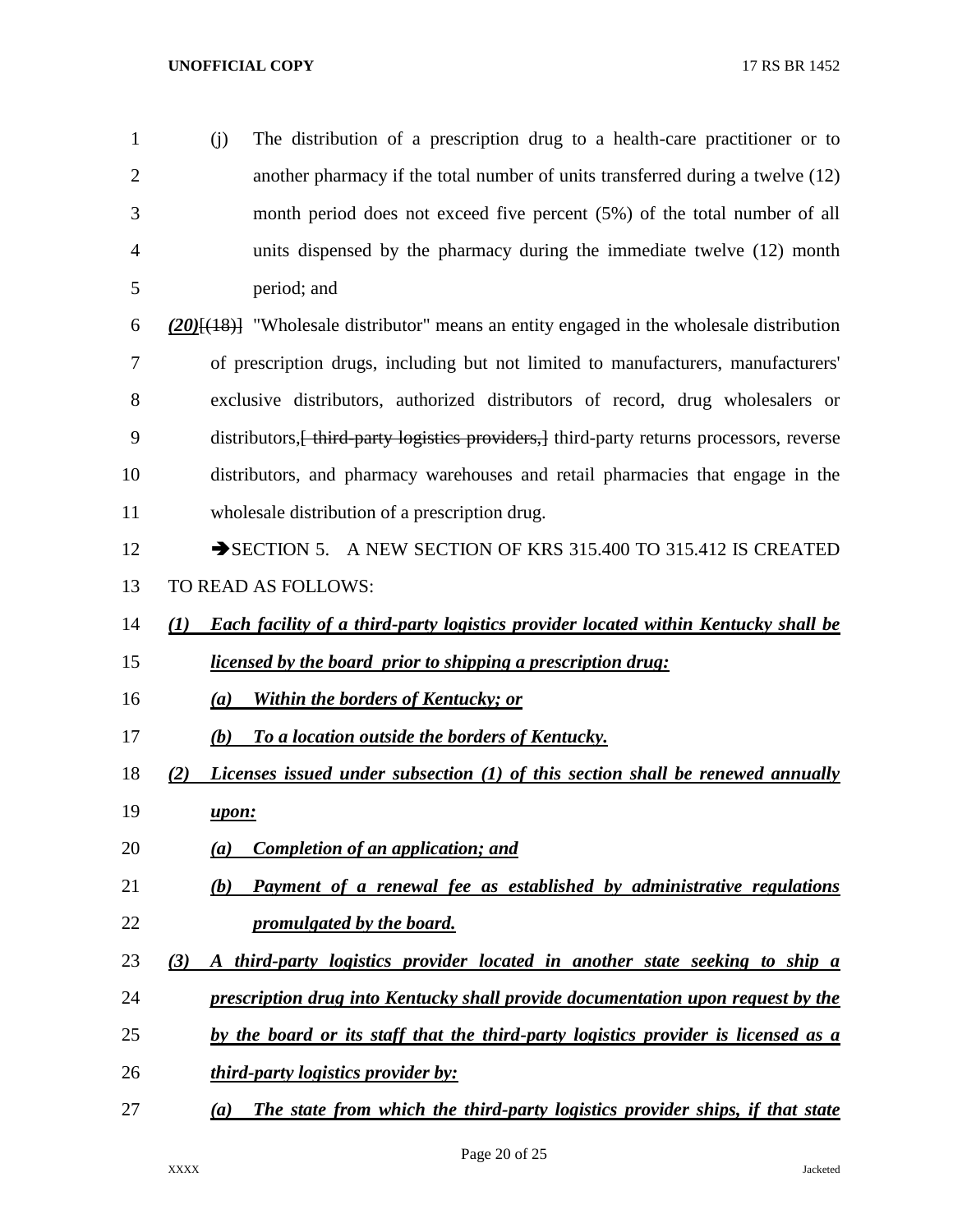(j) The distribution of a prescription drug to a health-care practitioner or to another pharmacy if the total number of units transferred during a twelve (12) month period does not exceed five percent (5%) of the total number of all units dispensed by the pharmacy during the immediate twelve (12) month period; and *(20)*[(18)] "Wholesale distributor" means an entity engaged in the wholesale distribution of prescription drugs, including but not limited to manufacturers, manufacturers' exclusive distributors, authorized distributors of record, drug wholesalers or

9 distributors, heta-party logistics providers, l third-party returns processors, reverse distributors, and pharmacy warehouses and retail pharmacies that engage in the wholesale distribution of a prescription drug.

- 12 SECTION 5. A NEW SECTION OF KRS 315.400 TO 315.412 IS CREATED TO READ AS FOLLOWS:
- *(1) Each facility of a third-party logistics provider located within Kentucky shall be licensed by the board prior to shipping a prescription drug:*
- *(a) Within the borders of Kentucky; or*
- *(b) To a location outside the borders of Kentucky.*
- *(2) Licenses issued under subsection (1) of this section shall be renewed annually upon:*
- *(a) Completion of an application; and*
- *(b) Payment of a renewal fee as established by administrative regulations promulgated by the board.*
- *(3) A third-party logistics provider located in another state seeking to ship a*
- *prescription drug into Kentucky shall provide documentation upon request by the*
- *by the board or its staff that the third-party logistics provider is licensed as a*
- *third-party logistics provider by:*
- *(a) The state from which the third-party logistics provider ships, if that state*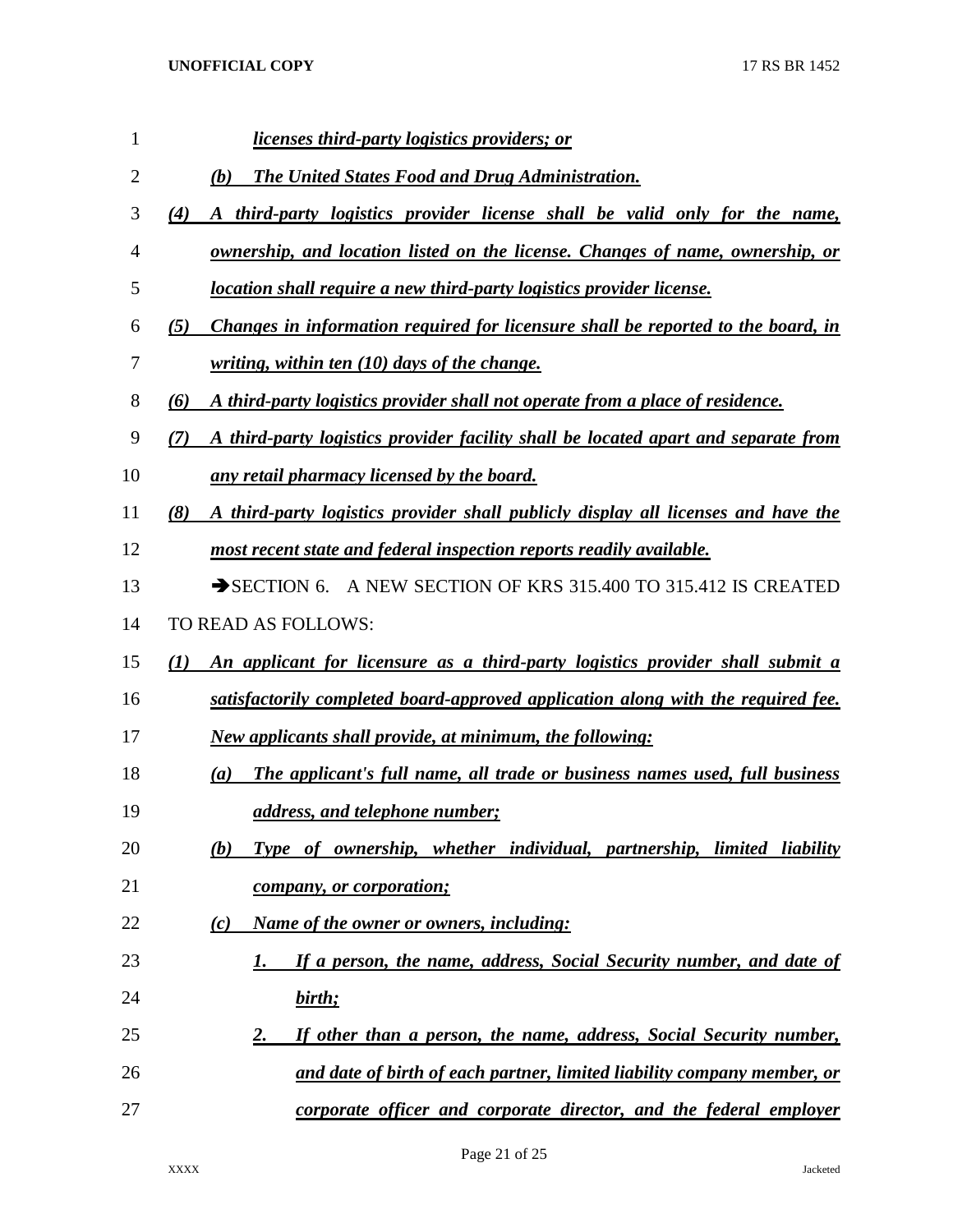| 1  | <u>licenses third-party logistics providers; or</u>                                       |
|----|-------------------------------------------------------------------------------------------|
| 2  | <b>The United States Food and Drug Administration.</b><br>(b)                             |
| 3  | A third-party logistics provider license shall be valid only for the name,<br>(4)         |
| 4  | <u>ownership, and location listed on the license. Changes of name, ownership, or</u>      |
| 5  | location shall require a new third-party logistics provider license.                      |
| 6  | Changes in information required for licensure shall be reported to the board, in<br>(5)   |
| 7  | writing, within ten $(10)$ days of the change.                                            |
| 8  | A third-party logistics provider shall not operate from a place of residence.<br>(6)      |
| 9  | A third-party logistics provider facility shall be located apart and separate from<br>(7) |
| 10 | <u>any retail pharmacy licensed by the board.</u>                                         |
| 11 | A third-party logistics provider shall publicly display all licenses and have the<br>(8)  |
| 12 | most recent state and federal inspection reports readily available.                       |
| 13 | SECTION 6. A NEW SECTION OF KRS 315.400 TO 315.412 IS CREATED                             |
| 14 | TO READ AS FOLLOWS:                                                                       |
| 15 | An applicant for licensure as a third-party logistics provider shall submit a<br>(I)      |
| 16 | satisfactorily completed board-approved application along with the required fee.          |
| 17 | <b>New applicants shall provide, at minimum, the following:</b>                           |
| 18 | The applicant's full name, all trade or business names used, full business<br>(a)         |
| 19 | address, and telephone number;                                                            |
| 20 | Type of ownership, whether individual, partnership, limited liability<br>(b)              |
| 21 | <i>company, or corporation;</i>                                                           |
| 22 | Name of the owner or owners, including:<br>(c)                                            |
| 23 | If a person, the name, address, Social Security number, and date of<br>1.                 |
| 24 | birth;                                                                                    |
| 25 | If other than a person, the name, address, Social Security number,<br><u>2.</u>           |
| 26 | and date of birth of each partner, limited liability company member, or                   |
| 27 | corporate officer and corporate director, and the federal employer                        |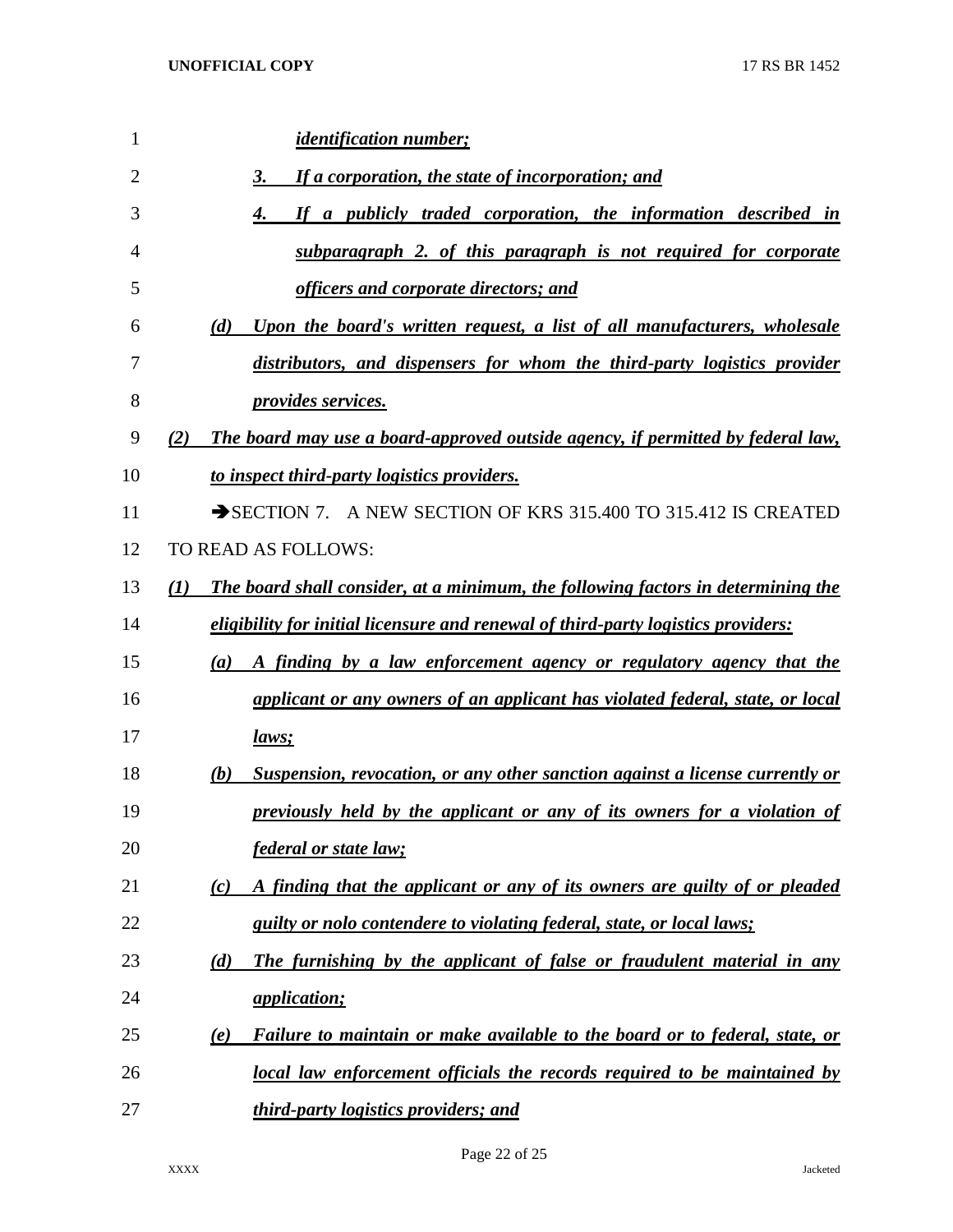| 1              | <i>identification number;</i>                                                           |
|----------------|-----------------------------------------------------------------------------------------|
| $\overline{2}$ | If a corporation, the state of incorporation; and<br>3.                                 |
| 3              | If a publicly traded corporation, the information described in<br>4.                    |
| 4              | subparagraph 2. of this paragraph is not required for corporate                         |
| 5              | officers and corporate directors; and                                                   |
| 6              | (d)<br>Upon the board's written request, a list of all manufacturers, wholesale         |
| 7              | distributors, and dispensers for whom the third-party logistics provider                |
| 8              | <i>provides services.</i>                                                               |
| 9              | The board may use a board-approved outside agency, if permitted by federal law,<br>(2)  |
| 10             | to inspect third-party logistics providers.                                             |
| 11             | SECTION 7. A NEW SECTION OF KRS 315.400 TO 315.412 IS CREATED                           |
| 12             | TO READ AS FOLLOWS:                                                                     |
| 13             | (I)<br>The board shall consider, at a minimum, the following factors in determining the |
| 14             | eligibility for initial licensure and renewal of third-party logistics providers:       |
| 15             | A finding by a law enforcement agency or regulatory agency that the<br>(a)              |
| 16             | applicant or any owners of an applicant has violated federal, state, or local           |
| 17             | <u>laws;</u>                                                                            |
| 18             | Suspension, revocation, or any other sanction against a license currently or<br>(b)     |
| 19             | previously held by the applicant or any of its owners for a violation of                |
| 20             | <i>federal or state law;</i>                                                            |
| 21             | A finding that the applicant or any of its owners are guilty of or pleaded<br>(c)       |
| 22             | guilty or nolo contendere to violating federal, state, or local laws;                   |
| 23             | The furnishing by the applicant of false or fraudulent material in any<br>(d)           |
| 24             | <i><u>application;</u></i>                                                              |
| 25             | Failure to maintain or make available to the board or to federal, state, or<br>(e)      |
| 26             | local law enforcement officials the records required to be maintained by                |
| 27             | third-party logistics providers; and                                                    |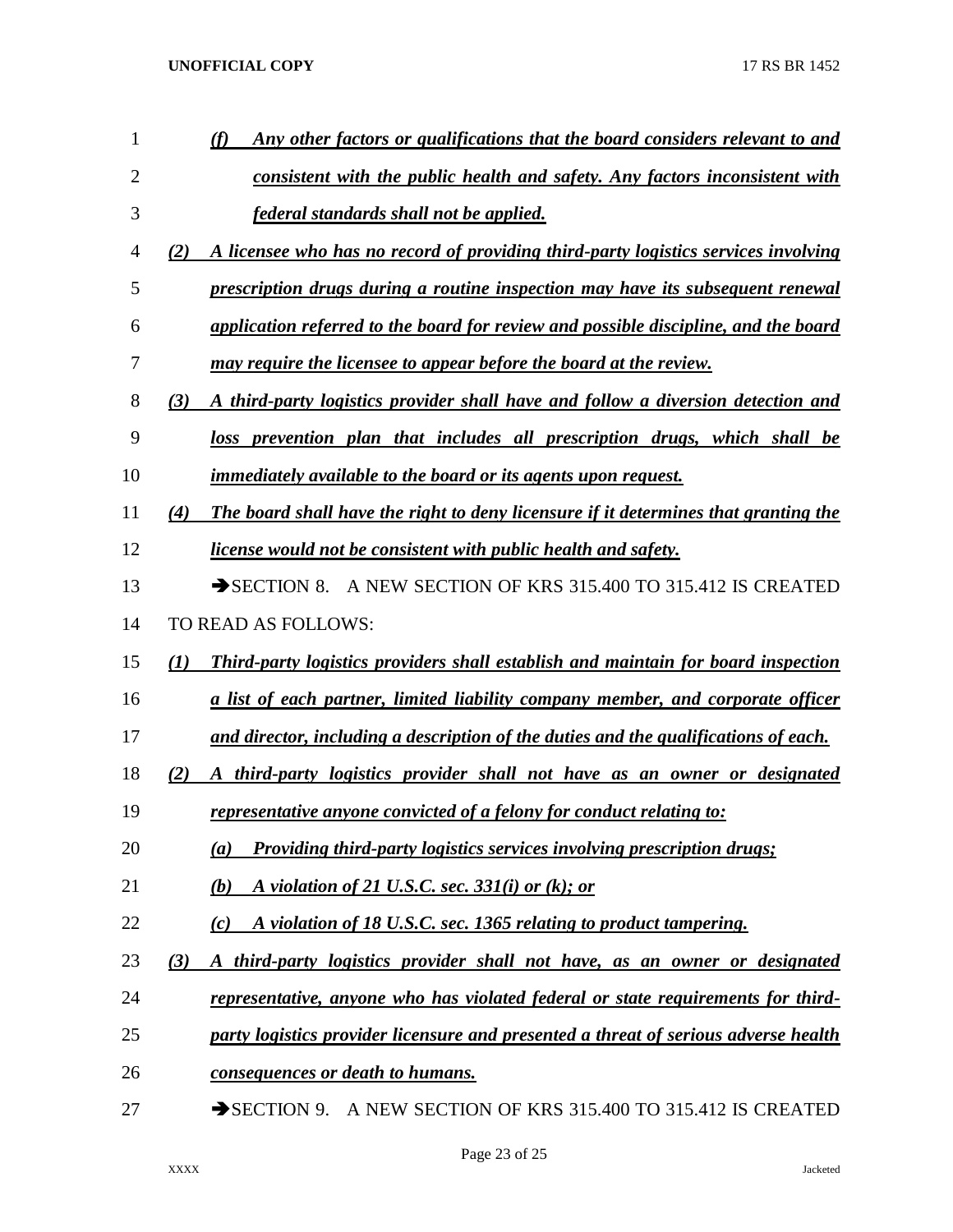| 1  | Any other factors or qualifications that the board considers relevant to and                    |
|----|-------------------------------------------------------------------------------------------------|
| 2  | consistent with the public health and safety. Any factors inconsistent with                     |
| 3  | federal standards shall not be applied.                                                         |
| 4  | A licensee who has no record of providing third-party logistics services involving<br>(2)       |
| 5  | prescription drugs during a routine inspection may have its subsequent renewal                  |
| 6  | application referred to the board for review and possible discipline, and the board             |
| 7  | may require the licensee to appear before the board at the review.                              |
| 8  | A third-party logistics provider shall have and follow a diversion detection and<br>(3)         |
| 9  | loss prevention plan that includes all prescription drugs, which shall be                       |
| 10 | <i>immediately available to the board or its agents upon request.</i>                           |
| 11 | The board shall have the right to deny licensure if it determines that granting the<br>(4)      |
| 12 | <u>license would not be consistent with public health and safety.</u>                           |
| 13 | SECTION 8. A NEW SECTION OF KRS 315.400 TO 315.412 IS CREATED                                   |
| 14 | TO READ AS FOLLOWS:                                                                             |
| 15 | <b>Third-party logistics providers shall establish and maintain for board inspection</b><br>(I) |
| 16 | <u>a list of each partner, limited liability company member, and corporate officer</u>          |
| 17 | and director, including a description of the duties and the qualifications of each.             |
| 18 | A third-party logistics provider shall not have as an owner or designated<br>(2)                |
| 19 | representative anyone convicted of a felony for conduct relating to:                            |
| 20 | <b>Providing third-party logistics services involving prescription drugs;</b><br>(a)            |
| 21 | A violation of 21 U.S.C. sec. $331(i)$ or (k); or<br>(b)                                        |
| 22 | A violation of 18 U.S.C. sec. 1365 relating to product tampering.<br>(c)                        |
| 23 | A third-party logistics provider shall not have, as an owner or designated<br>(3)               |
| 24 | <u>representative, anyone who has violated federal or state requirements for third-</u>         |
| 25 | party logistics provider licensure and presented a threat of serious adverse health             |
| 26 | consequences or death to humans.                                                                |
| 27 | SECTION 9. A NEW SECTION OF KRS 315.400 TO 315.412 IS CREATED                                   |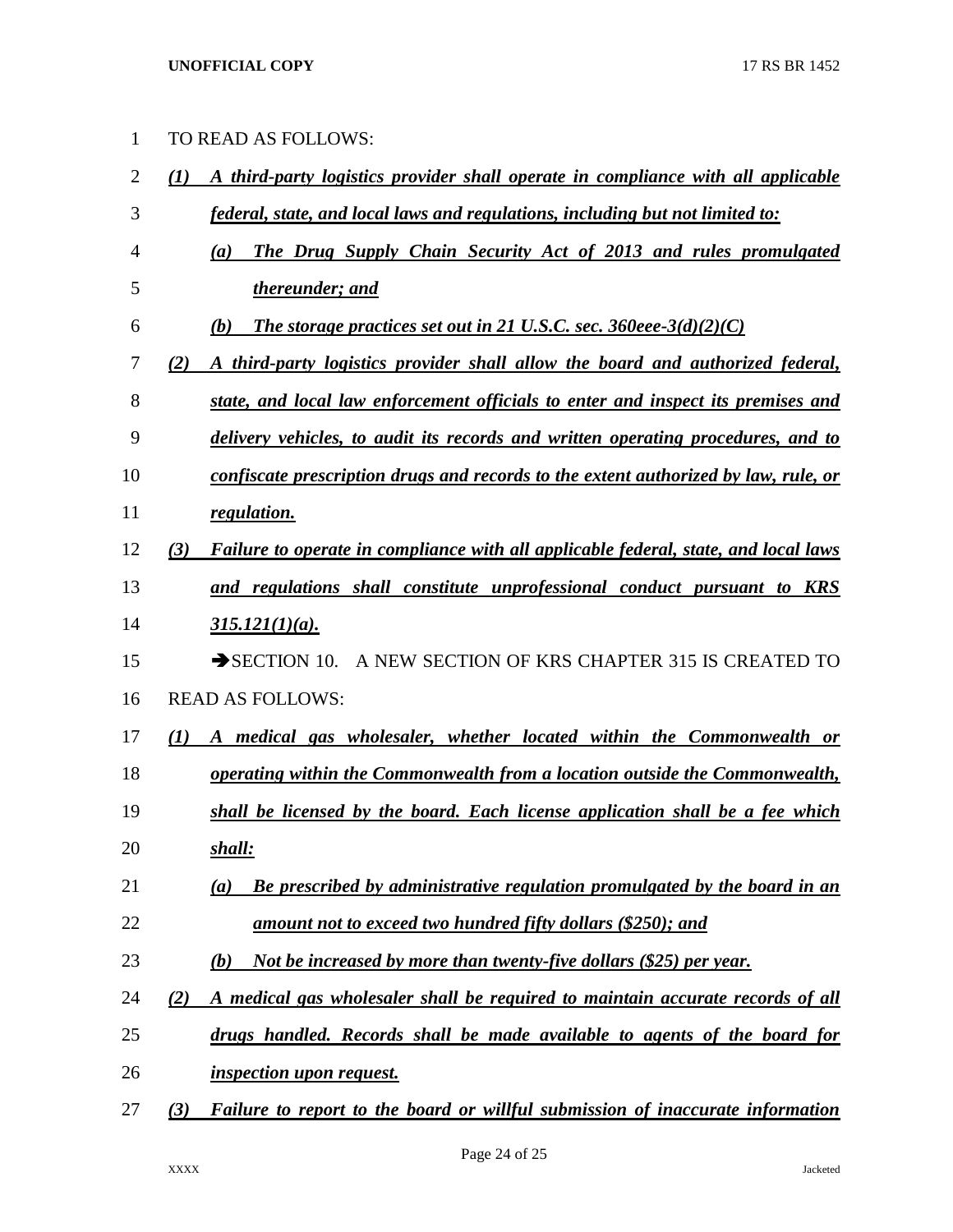| 1 TO READ AS FOLLOWS: |  |
|-----------------------|--|
|                       |  |

| $\overline{4}$ |     | The Drug Supply Chain Security Act of 2013 and rules promulgated<br>(a)             |
|----------------|-----|-------------------------------------------------------------------------------------|
| 5              |     | thereunder; and                                                                     |
| 6              |     | The storage practices set out in 21 U.S.C. sec. 360eee-3(d)(2)(C)<br>(b)            |
| 7              | (2) | A third-party logistics provider shall allow the board and authorized federal,      |
| 8              |     | state, and local law enforcement officials to enter and inspect its premises and    |
| 9              |     | delivery vehicles, to audit its records and written operating procedures, and to    |
| 10             |     | confiscate prescription drugs and records to the extent authorized by law, rule, or |
| 11             |     | regulation.                                                                         |
| 12             | (3) | Failure to operate in compliance with all applicable federal, state, and local laws |
| 13             |     | and regulations shall constitute unprofessional conduct pursuant to KRS             |
| 14             |     | $315.121(1)(a)$ .                                                                   |
| 15             |     | $\rightarrow$ SECTION 10.<br>A NEW SECTION OF KRS CHAPTER 315 IS CREATED TO         |
| 16             |     | <b>READ AS FOLLOWS:</b>                                                             |
| 17             | (1) | A medical gas wholesaler, whether located within the Commonwealth or                |
| 18             |     | operating within the Commonwealth from a location outside the Commonwealth,         |
| 19             |     | shall be licensed by the board. Each license application shall be a fee which       |
| 20             |     | shall:                                                                              |
| 21             |     | Be prescribed by administrative regulation promulgated by the board in an<br>(a)    |
| 22             |     | amount not to exceed two hundred fifty dollars (\$250); and                         |
| 23             |     | Not be increased by more than twenty-five dollars (\$25) per year.<br>(b)           |
| 24             | (2) | A medical gas wholesaler shall be required to maintain accurate records of all      |
| 25             |     | drugs handled. Records shall be made available to agents of the board for           |
| 26             |     | <i>inspection upon request.</i>                                                     |
| 27             | (3) | Failure to report to the board or willful submission of inaccurate information      |

*(1) A third-party logistics provider shall operate in compliance with all applicable* 

*federal, state, and local laws and regulations, including but not limited to:*